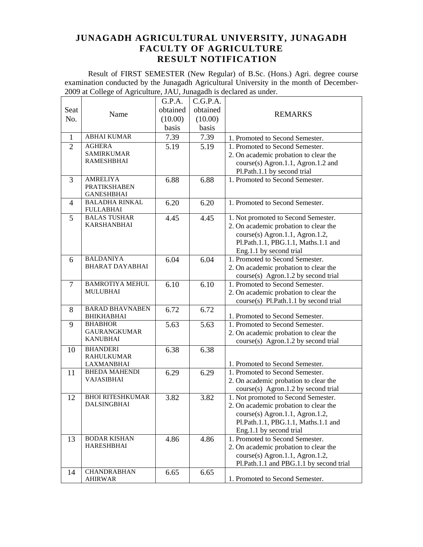Result of FIRST SEMESTER (New Regular) of B.Sc. (Hons.) Agri. degree course examination conducted by the Junagadh Agricultural University in the month of December-2009 at College of Agriculture, JAU, Junagadh is declared as under.

|                |                                      | G.P.A.   | C.G.P.A. |                                                                                |
|----------------|--------------------------------------|----------|----------|--------------------------------------------------------------------------------|
| Seat           |                                      | obtained | obtained |                                                                                |
| No.            | Name                                 | (10.00)  | (10.00)  | <b>REMARKS</b>                                                                 |
|                |                                      | basis    | basis    |                                                                                |
| $\mathbf{1}$   | <b>ABHAI KUMAR</b>                   | 7.39     | 7.39     | 1. Promoted to Second Semester.                                                |
| $\overline{2}$ | <b>AGHERA</b>                        | 5.19     | 5.19     | 1. Promoted to Second Semester.                                                |
|                | <b>SAMIRKUMAR</b>                    |          |          | 2. On academic probation to clear the                                          |
|                | <b>RAMESHBHAI</b>                    |          |          | course(s) Agron.1.1, Agron.1.2 and                                             |
|                |                                      |          |          | Pl.Path.1.1 by second trial                                                    |
| 3              | <b>AMRELIYA</b>                      | 6.88     | 6.88     | 1. Promoted to Second Semester.                                                |
|                | <b>PRATIKSHABEN</b>                  |          |          |                                                                                |
|                | <b>GANESHBHAI</b>                    |          |          |                                                                                |
| $\overline{4}$ | <b>BALADHA RINKAL</b>                | 6.20     | 6.20     | 1. Promoted to Second Semester.                                                |
|                | <b>FULLABHAI</b>                     |          |          |                                                                                |
| 5              | <b>BALAS TUSHAR</b><br>KARSHANBHAI   | 4.45     | 4.45     | 1. Not promoted to Second Semester.                                            |
|                |                                      |          |          | 2. On academic probation to clear the                                          |
|                |                                      |          |          | course(s) Agron.1.1, Agron.1.2,                                                |
|                |                                      |          |          | Pl.Path.1.1, PBG.1.1, Maths.1.1 and                                            |
|                | <b>BALDANIYA</b>                     |          |          | Eng.1.1 by second trial                                                        |
| 6              | <b>BHARAT DAYABHAI</b>               | 6.04     | 6.04     | 1. Promoted to Second Semester.                                                |
|                |                                      |          |          | 2. On academic probation to clear the                                          |
| 7              | <b>BAMROTIYA MEHUL</b>               | 6.10     | 6.10     | course(s) Agron.1.2 by second trial<br>1. Promoted to Second Semester.         |
|                | <b>MULUBHAI</b>                      |          |          |                                                                                |
|                |                                      |          |          | 2. On academic probation to clear the<br>course(s) Pl.Path.1.1 by second trial |
| 8              | <b>BARAD BHAVNABEN</b>               | 6.72     | 6.72     |                                                                                |
|                | <b>BHIKHABHAI</b>                    |          |          | 1. Promoted to Second Semester.                                                |
| 9              | <b>BHABHOR</b>                       | 5.63     | 5.63     | 1. Promoted to Second Semester.                                                |
|                | <b>GAURANGKUMAR</b>                  |          |          | 2. On academic probation to clear the                                          |
|                | <b>KANUBHAI</b>                      |          |          | course(s) Agron.1.2 by second trial                                            |
| 10             | <b>BHANDERI</b>                      | 6.38     | 6.38     |                                                                                |
|                | <b>RAHULKUMAR</b>                    |          |          |                                                                                |
|                | LAXMANBHAI                           |          |          | 1. Promoted to Second Semester.                                                |
| 11             | <b>BHEDA MAHENDI</b>                 | 6.29     | 6.29     | 1. Promoted to Second Semester.                                                |
|                | VAJASIBHAI                           |          |          | 2. On academic probation to clear the                                          |
|                |                                      |          |          | course(s) Agron.1.2 by second trial                                            |
| 12             | <b>BHOI RITESHKUMAR</b>              | 3.82     | 3.82     | 1. Not promoted to Second Semester.                                            |
|                | <b>DALSINGBHAI</b>                   |          |          | 2. On academic probation to clear the                                          |
|                |                                      |          |          | course(s) Agron.1.1, Agron.1.2,                                                |
|                |                                      |          |          | Pl.Path.1.1, PBG.1.1, Maths.1.1 and                                            |
|                |                                      |          |          | Eng.1.1 by second trial                                                        |
| 13             | <b>BODAR KISHAN</b>                  | 4.86     | 4.86     | 1. Promoted to Second Semester.                                                |
|                | <b>HARESHBHAI</b>                    |          |          | 2. On academic probation to clear the                                          |
|                |                                      |          |          | course(s) Agron.1.1, Agron.1.2,                                                |
|                |                                      |          |          | Pl.Path.1.1 and PBG.1.1 by second trial                                        |
| 14             | <b>CHANDRABHAN</b><br><b>AHIRWAR</b> | 6.65     | 6.65     | 1. Promoted to Second Semester.                                                |
|                |                                      |          |          |                                                                                |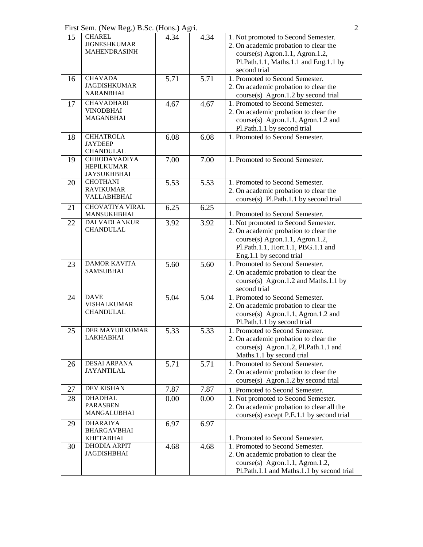First Sem. (New Reg.) B.Sc. (Hons.) Agri. 2

| 15 | <b>CHAREL</b>                           | 4.34 | 4.34              | 1. Not promoted to Second Semester.       |
|----|-----------------------------------------|------|-------------------|-------------------------------------------|
|    | <b>JIGNESHKUMAR</b>                     |      |                   | 2. On academic probation to clear the     |
|    | <b>MAHENDRASINH</b>                     |      |                   | course(s) Agron.1.1, Agron.1.2,           |
|    |                                         |      |                   | Pl.Path.1.1, Maths.1.1 and Eng.1.1 by     |
|    |                                         |      |                   | second trial                              |
| 16 | <b>CHAVADA</b>                          | 5.71 | 5.71              | 1. Promoted to Second Semester.           |
|    | <b>JAGDISHKUMAR</b>                     |      |                   | 2. On academic probation to clear the     |
|    | <b>NARANBHAI</b>                        |      |                   | course(s) Agron.1.2 by second trial       |
| 17 | <b>CHAVADHARI</b>                       | 4.67 | 4.67              | 1. Promoted to Second Semester.           |
|    | <b>VINODBHAI</b>                        |      |                   | 2. On academic probation to clear the     |
|    | <b>MAGANBHAI</b>                        |      |                   | course(s) Agron.1.1, Agron.1.2 and        |
|    |                                         |      |                   | Pl.Path.1.1 by second trial               |
| 18 | <b>CHHATROLA</b>                        | 6.08 | 6.08              | 1. Promoted to Second Semester.           |
|    | <b>JAYDEEP</b>                          |      |                   |                                           |
|    | <b>CHANDULAL</b>                        |      |                   |                                           |
| 19 | <b>CHHODAVADIYA</b>                     | 7.00 | 7.00              | 1. Promoted to Second Semester.           |
|    | <b>HEPILKUMAR</b><br><b>JAYSUKHBHAI</b> |      |                   |                                           |
| 20 | <b>CHOTHANI</b>                         | 5.53 | 5.53              | 1. Promoted to Second Semester.           |
|    | <b>RAVIKUMAR</b>                        |      |                   | 2. On academic probation to clear the     |
|    | <b>VALLABHBHAI</b>                      |      |                   | course(s) Pl.Path.1.1 by second trial     |
| 21 | <b>CHOVATIYA VIRAL</b>                  | 6.25 | 6.25              |                                           |
|    | MANSUKHBHAI                             |      |                   | 1. Promoted to Second Semester.           |
| 22 | <b>DALVADI ANKUR</b>                    | 3.92 | $\overline{3.92}$ | 1. Not promoted to Second Semester.       |
|    | <b>CHANDULAL</b>                        |      |                   | 2. On academic probation to clear the     |
|    |                                         |      |                   | course(s) Agron.1.1, Agron.1.2,           |
|    |                                         |      |                   | Pl.Path.1.1, Hort.1.1, PBG.1.1 and        |
|    |                                         |      |                   | Eng.1.1 by second trial                   |
| 23 | <b>DAMOR KAVITA</b>                     | 5.60 | $\overline{5.60}$ | 1. Promoted to Second Semester.           |
|    | <b>SAMSUBHAI</b>                        |      |                   | 2. On academic probation to clear the     |
|    |                                         |      |                   | course(s) Agron.1.2 and Maths.1.1 by      |
|    |                                         |      |                   | second trial                              |
| 24 | <b>DAVE</b>                             | 5.04 | 5.04              | 1. Promoted to Second Semester.           |
|    | <b>VISHALKUMAR</b>                      |      |                   | 2. On academic probation to clear the     |
|    | <b>CHANDULAL</b>                        |      |                   | course(s) Agron.1.1, Agron.1.2 and        |
|    |                                         |      |                   | Pl.Path.1.1 by second trial               |
| 25 | DER MAYURKUMAR                          | 5.33 | 5.33              | 1. Promoted to Second Semester.           |
|    | <b>LAKHABHAI</b>                        |      |                   | 2. On academic probation to clear the     |
|    |                                         |      |                   | course(s) Agron.1.2, Pl.Path.1.1 and      |
|    |                                         |      |                   | Maths.1.1 by second trial                 |
| 26 | <b>DESAI ARPANA</b>                     | 5.71 | 5.71              | 1. Promoted to Second Semester.           |
|    | <b>JAYANTILAL</b>                       |      |                   | 2. On academic probation to clear the     |
|    |                                         |      |                   | course(s) Agron.1.2 by second trial       |
| 27 | DEV KISHAN                              | 7.87 | 7.87              | 1. Promoted to Second Semester.           |
| 28 | <b>DHADHAL</b>                          | 0.00 | 0.00              | 1. Not promoted to Second Semester.       |
|    | <b>PARASBEN</b>                         |      |                   | 2. On academic probation to clear all the |
|    | MANGALUBHAI                             |      |                   | course(s) except P.E.1.1 by second trial  |
| 29 | <b>DHARAIYA</b>                         | 6.97 | 6.97              |                                           |
|    | <b>BHARGAVBHAI</b>                      |      |                   |                                           |
|    | <b>KHETABHAI</b>                        |      |                   | 1. Promoted to Second Semester.           |
| 30 | <b>DHODIA ARPIT</b>                     | 4.68 | 4.68              | 1. Promoted to Second Semester.           |
|    | <b>JAGDISHBHAI</b>                      |      |                   | 2. On academic probation to clear the     |
|    |                                         |      |                   | course(s) Agron.1.1, Agron.1.2,           |
|    |                                         |      |                   | Pl.Path.1.1 and Maths.1.1 by second trial |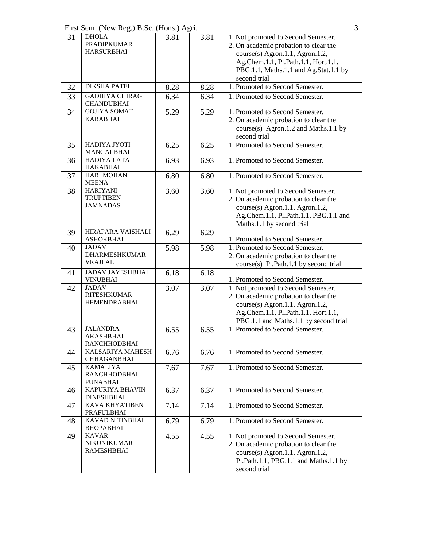First Sem. (New Reg.) B.Sc. (Hons.) Agri. 3

| 31 | <b>DHOLA</b>                                 | 3.81 | 3.81 | 1. Not promoted to Second Semester.   |
|----|----------------------------------------------|------|------|---------------------------------------|
|    | <b>PRADIPKUMAR</b>                           |      |      | 2. On academic probation to clear the |
|    | <b>HARSURBHAI</b>                            |      |      | course(s) Agron.1.1, Agron.1.2,       |
|    |                                              |      |      | Ag.Chem.1.1, Pl.Path.1.1, Hort.1.1,   |
|    |                                              |      |      | PBG.1.1, Maths.1.1 and Ag.Stat.1.1 by |
|    |                                              |      |      | second trial                          |
| 32 | <b>DIKSHA PATEL</b>                          | 8.28 | 8.28 | 1. Promoted to Second Semester.       |
| 33 | <b>GADHIYA CHIRAG</b><br><b>CHANDUBHAI</b>   | 6.34 | 6.34 | 1. Promoted to Second Semester.       |
| 34 | <b>GOJIYA SOMAT</b>                          | 5.29 | 5.29 | 1. Promoted to Second Semester.       |
|    | <b>KARABHAI</b>                              |      |      | 2. On academic probation to clear the |
|    |                                              |      |      | course(s) Agron.1.2 and Maths.1.1 by  |
|    |                                              |      |      | second trial                          |
| 35 | <b>HADIYA JYOTI</b>                          | 6.25 | 6.25 | 1. Promoted to Second Semester.       |
|    | MANGALBHAI                                   |      |      |                                       |
| 36 | <b>HADIYA LATA</b>                           | 6.93 | 6.93 | 1. Promoted to Second Semester.       |
|    | <b>HAKABHAI</b>                              |      |      |                                       |
| 37 | <b>HARI MOHAN</b>                            | 6.80 | 6.80 | 1. Promoted to Second Semester.       |
|    | <b>MEENA</b><br><b>HARIYANI</b>              |      |      |                                       |
| 38 | <b>TRUPTIBEN</b>                             | 3.60 | 3.60 | 1. Not promoted to Second Semester.   |
|    | <b>JAMNADAS</b>                              |      |      | 2. On academic probation to clear the |
|    |                                              |      |      | course(s) Agron.1.1, Agron.1.2,       |
|    |                                              |      |      | Ag.Chem.1.1, Pl.Path.1.1, PBG.1.1 and |
|    |                                              |      |      | Maths.1.1 by second trial             |
| 39 | <b>HIRAPARA VAISHALI</b><br><b>ASHOKBHAI</b> | 6.29 | 6.29 | 1. Promoted to Second Semester.       |
| 40 | <b>JADAV</b>                                 | 5.98 | 5.98 | 1. Promoted to Second Semester.       |
|    | <b>DHARMESHKUMAR</b>                         |      |      | 2. On academic probation to clear the |
|    | <b>VRAJLAL</b>                               |      |      | course(s) Pl.Path.1.1 by second trial |
| 41 | <b>JADAV JAYESHBHAI</b>                      | 6.18 | 6.18 |                                       |
|    | <b>VINUBHAI</b>                              |      |      | 1. Promoted to Second Semester.       |
| 42 | <b>JADAV</b>                                 | 3.07 | 3.07 | 1. Not promoted to Second Semester.   |
|    | <b>RITESHKUMAR</b>                           |      |      | 2. On academic probation to clear the |
|    | HEMENDRABHAI                                 |      |      | course(s) Agron.1.1, Agron.1.2,       |
|    |                                              |      |      | Ag.Chem.1.1, Pl.Path.1.1, Hort.1.1,   |
|    |                                              |      |      | PBG.1.1 and Maths.1.1 by second trial |
| 43 | <b>JALANDRA</b>                              | 6.55 | 6.55 | 1. Promoted to Second Semester.       |
|    | AKASHBHAI                                    |      |      |                                       |
|    | RANCHHODBHAI<br>KALSARIYA MAHESH             |      |      | 1. Promoted to Second Semester.       |
| 44 | <b>CHHAGANBHAI</b>                           | 6.76 | 6.76 |                                       |
| 45 | <b>KAMALIYA</b>                              | 7.67 | 7.67 | 1. Promoted to Second Semester.       |
|    | RANCHHODBHAI<br><b>PUNABHAI</b>              |      |      |                                       |
| 46 | <b>KAPURIYA BHAVIN</b>                       | 6.37 | 6.37 | 1. Promoted to Second Semester.       |
|    | <b>DINESHBHAI</b>                            |      |      |                                       |
| 47 | KAVA KHYATIBEN                               | 7.14 | 7.14 | 1. Promoted to Second Semester.       |
|    | PRAFULBHAI                                   |      |      |                                       |
| 48 | KAVAD NITINBHAI<br><b>BHOPABHAI</b>          | 6.79 | 6.79 | 1. Promoted to Second Semester.       |
| 49 | <b>KAVAR</b>                                 | 4.55 | 4.55 | 1. Not promoted to Second Semester.   |
|    | <b>NIKUNJKUMAR</b>                           |      |      | 2. On academic probation to clear the |
|    | <b>RAMESHBHAI</b>                            |      |      | course(s) Agron.1.1, Agron.1.2,       |
|    |                                              |      |      | Pl.Path.1.1, PBG.1.1 and Maths.1.1 by |
|    |                                              |      |      | second trial                          |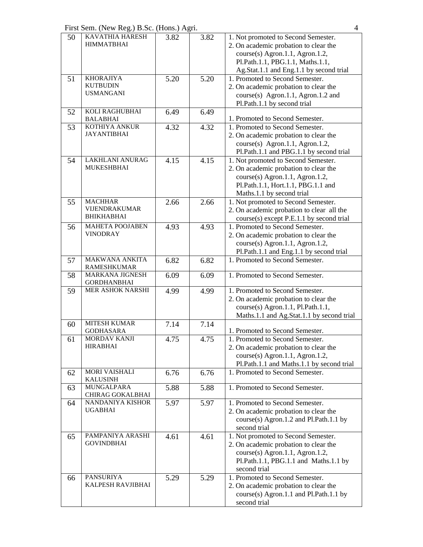First Sem. (New Reg.) B.Sc. (Hons.) Agri. 4

| 50 | <b>KAVATHIA HARESH</b><br><b>HIMMATBHAI</b>             | 3.82 | 3.82 | 1. Not promoted to Second Semester.<br>2. On academic probation to clear the<br>course(s) Agron.1.1, Agron.1.2,<br>Pl.Path.1.1, PBG.1.1, Maths.1.1,<br>Ag.Stat.1.1 and Eng.1.1 by second trial |
|----|---------------------------------------------------------|------|------|------------------------------------------------------------------------------------------------------------------------------------------------------------------------------------------------|
| 51 | <b>KHORAJIYA</b><br><b>KUTBUDIN</b><br><b>USMANGANI</b> | 5.20 | 5.20 | 1. Promoted to Second Semester.<br>2. On academic probation to clear the<br>course(s) Agron.1.1, Agron.1.2 and<br>Pl.Path.1.1 by second trial                                                  |
| 52 | KOLI RAGHUBHAI<br><b>BALABHAI</b>                       | 6.49 | 6.49 | 1. Promoted to Second Semester.                                                                                                                                                                |
| 53 | KOTHIYA ANKUR<br><b>JAYANTIBHAI</b>                     | 4.32 | 4.32 | 1. Promoted to Second Semester.<br>2. On academic probation to clear the<br>$course(s)$ Agron.1.1, Agron.1.2,<br>Pl.Path.1.1 and PBG.1.1 by second trial                                       |
| 54 | <b>LAKHLANI ANURAG</b><br><b>MUKESHBHAI</b>             | 4.15 | 4.15 | 1. Not promoted to Second Semester.<br>2. On academic probation to clear the<br>course(s) Agron.1.1, Agron.1.2,<br>Pl.Path.1.1, Hort.1.1, PBG.1.1 and<br>Maths.1.1 by second trial             |
| 55 | <b>MACHHAR</b><br>VIJENDRAKUMAR<br><b>BHIKHABHAI</b>    | 2.66 | 2.66 | 1. Not promoted to Second Semester.<br>2. On academic probation to clear all the<br>course(s) except P.E.1.1 by second trial                                                                   |
| 56 | <b>MAHETA POOJABEN</b><br><b>VINODRAY</b>               | 4.93 | 4.93 | 1. Promoted to Second Semester.<br>2. On academic probation to clear the<br>course(s) Agron.1.1, Agron.1.2,<br>Pl.Path.1.1 and Eng.1.1 by second trial                                         |
| 57 | <b>MAKWANA ANKITA</b><br><b>RAMESHKUMAR</b>             | 6.82 | 6.82 | 1. Promoted to Second Semester.                                                                                                                                                                |
| 58 | <b>MARKANA JIGNESH</b><br><b>GORDHANBHAI</b>            | 6.09 | 6.09 | 1. Promoted to Second Semester.                                                                                                                                                                |
| 59 | MER ASHOK NARSHI                                        | 4.99 | 4.99 | 1. Promoted to Second Semester.<br>2. On academic probation to clear the<br>course(s) Agron.1.1, Pl.Path.1.1,<br>Maths.1.1 and Ag.Stat.1.1 by second trial                                     |
| 60 | <b>MITESH KUMAR</b><br><b>GODHASARA</b>                 | 7.14 | 7.14 | 1. Promoted to Second Semester.                                                                                                                                                                |
| 61 | MORDAV KANJI<br><b>HIRABHAI</b>                         | 4.75 | 4.75 | 1. Promoted to Second Semester.<br>2. On academic probation to clear the<br>course(s) Agron.1.1, Agron.1.2,<br>Pl.Path.1.1 and Maths.1.1 by second trial                                       |
| 62 | <b>MORI VAISHALI</b><br><b>KALUSINH</b>                 | 6.76 | 6.76 | 1. Promoted to Second Semester.                                                                                                                                                                |
| 63 | MUNGALPARA<br>CHIRAG GOKALBHAI                          | 5.88 | 5.88 | 1. Promoted to Second Semester.                                                                                                                                                                |
| 64 | NANDANIYA KISHOR<br><b>UGABHAI</b>                      | 5.97 | 5.97 | 1. Promoted to Second Semester.<br>2. On academic probation to clear the<br>course(s) Agron.1.2 and Pl.Path.1.1 by<br>second trial                                                             |
| 65 | PAMPANIYA ARASHI<br><b>GOVINDBHAI</b>                   | 4.61 | 4.61 | 1. Not promoted to Second Semester.<br>2. On academic probation to clear the<br>course(s) Agron.1.1, Agron.1.2,<br>Pl.Path.1.1, PBG.1.1 and Maths.1.1 by<br>second trial                       |
| 66 | <b>PANSURIYA</b><br>KALPESH RAVJIBHAI                   | 5.29 | 5.29 | 1. Promoted to Second Semester.<br>2. On academic probation to clear the<br>course(s) Agron.1.1 and Pl.Path.1.1 by<br>second trial                                                             |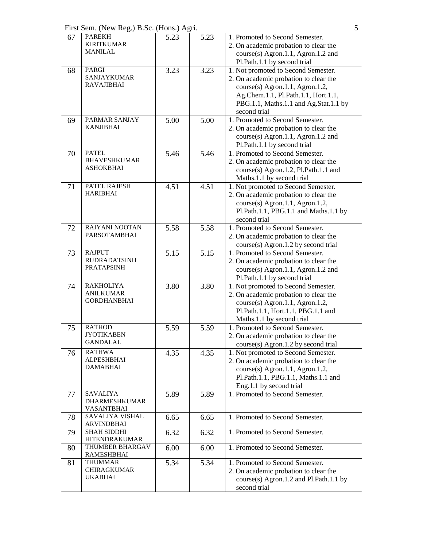First Sem. (New Reg.) B.Sc. (Hons.) Agri. 5

| 67 | <b>PAREKH</b><br><b>KIRITKUMAR</b><br><b>MANILAL</b>         | 5.23 | 5.23 | 1. Promoted to Second Semester.<br>2. On academic probation to clear the<br>course(s) Agron.1.1, Agron.1.2 and<br>Pl.Path.1.1 by second trial                                                                   |
|----|--------------------------------------------------------------|------|------|-----------------------------------------------------------------------------------------------------------------------------------------------------------------------------------------------------------------|
| 68 | <b>PARGI</b><br><b>SANJAYKUMAR</b><br><b>RAVAJIBHAI</b>      | 3.23 | 3.23 | 1. Not promoted to Second Semester.<br>2. On academic probation to clear the<br>course(s) Agron.1.1, Agron.1.2,<br>Ag.Chem.1.1, Pl.Path.1.1, Hort.1.1,<br>PBG.1.1, Maths.1.1 and Ag.Stat.1.1 by<br>second trial |
| 69 | <b>PARMAR SANJAY</b><br><b>KANJIBHAI</b>                     | 5.00 | 5.00 | 1. Promoted to Second Semester.<br>2. On academic probation to clear the<br>course(s) Agron.1.1, Agron.1.2 and<br>Pl.Path.1.1 by second trial                                                                   |
| 70 | <b>PATEL</b><br><b>BHAVESHKUMAR</b><br><b>ASHOKBHAI</b>      | 5.46 | 5.46 | 1. Promoted to Second Semester.<br>2. On academic probation to clear the<br>course(s) Agron.1.2, Pl.Path.1.1 and<br>Maths.1.1 by second trial                                                                   |
| 71 | <b>PATEL RAJESH</b><br><b>HARIBHAI</b>                       | 4.51 | 4.51 | 1. Not promoted to Second Semester.<br>2. On academic probation to clear the<br>course(s) Agron.1.1, Agron.1.2,<br>Pl.Path.1.1, PBG.1.1 and Maths.1.1 by<br>second trial                                        |
| 72 | <b>RAIYANI NOOTAN</b><br><b>PARSOTAMBHAI</b>                 | 5.58 | 5.58 | 1. Promoted to Second Semester.<br>2. On academic probation to clear the<br>course(s) Agron.1.2 by second trial                                                                                                 |
| 73 | <b>RAJPUT</b><br><b>RUDRADATSINH</b><br><b>PRATAPSINH</b>    | 5.15 | 5.15 | 1. Promoted to Second Semester.<br>2. On academic probation to clear the<br>course(s) Agron.1.1, Agron.1.2 and<br>Pl.Path.1.1 by second trial                                                                   |
| 74 | <b>RAKHOLIYA</b><br><b>ANILKUMAR</b><br><b>GORDHANBHAI</b>   | 3.80 | 3.80 | 1. Not promoted to Second Semester.<br>2. On academic probation to clear the<br>course(s) Agron.1.1, Agron.1.2,<br>Pl.Path.1.1, Hort.1.1, PBG.1.1 and<br>Maths.1.1 by second trial                              |
| 75 | <b>RATHOD</b><br><b>JYOTIKABEN</b><br>GANDALAL               | 5.59 | 5.59 | 1. Promoted to Second Semester.<br>2. On academic probation to clear the<br>course(s) Agron.1.2 by second trial                                                                                                 |
| 76 | <b>RATHWA</b><br><b>ALPESHBHAI</b><br><b>DAMABHAI</b>        | 4.35 | 4.35 | 1. Not promoted to Second Semester.<br>2. On academic probation to clear the<br>$course(s)$ Agron.1.1, Agron.1.2,<br>Pl.Path.1.1, PBG.1.1, Maths.1.1 and<br>Eng.1.1 by second trial                             |
| 77 | <b>SAVALIYA</b><br><b>DHARMESHKUMAR</b><br><b>VASANTBHAI</b> | 5.89 | 5.89 | 1. Promoted to Second Semester.                                                                                                                                                                                 |
| 78 | SAVALIYA VISHAL<br><b>ARVINDBHAI</b>                         | 6.65 | 6.65 | 1. Promoted to Second Semester.                                                                                                                                                                                 |
| 79 | <b>SHAH SIDDHI</b><br>HITENDRAKUMAR                          | 6.32 | 6.32 | 1. Promoted to Second Semester.                                                                                                                                                                                 |
| 80 | THUMBER BHARGAV<br><b>RAMESHBHAI</b>                         | 6.00 | 6.00 | 1. Promoted to Second Semester.                                                                                                                                                                                 |
| 81 | <b>THUMMAR</b><br><b>CHIRAGKUMAR</b><br><b>UKABHAI</b>       | 5.34 | 5.34 | 1. Promoted to Second Semester.<br>2. On academic probation to clear the<br>course(s) Agron.1.2 and Pl.Path.1.1 by<br>second trial                                                                              |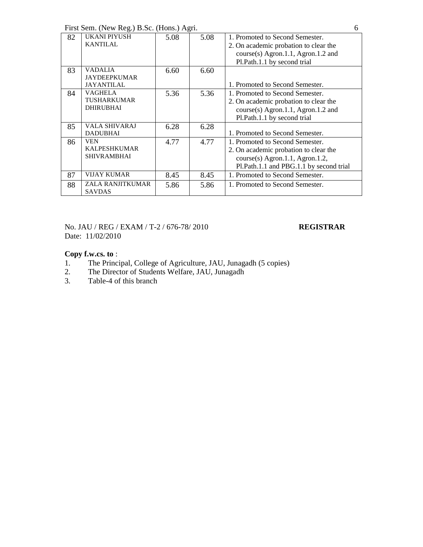First Sem. (New Reg.) B.Sc. (Hons.) Agri. 6

| 82 | UKANI PIYUSH         | 5.08 | 5.08 | 1. Promoted to Second Semester.         |
|----|----------------------|------|------|-----------------------------------------|
|    | <b>KANTILAL</b>      |      |      | 2. On academic probation to clear the   |
|    |                      |      |      | course(s) Agron.1.1, Agron.1.2 and      |
|    |                      |      |      | Pl.Path.1.1 by second trial             |
| 83 | <b>VADALIA</b>       | 6.60 | 6.60 |                                         |
|    | <b>JAYDEEPKUMAR</b>  |      |      |                                         |
|    | <b>JAYANTILAL</b>    |      |      | 1. Promoted to Second Semester.         |
| 84 | <b>VAGHELA</b>       | 5.36 | 5.36 | 1. Promoted to Second Semester.         |
|    | <b>TUSHARKUMAR</b>   |      |      | 2. On academic probation to clear the   |
|    | <b>DHIRUBHAI</b>     |      |      | course(s) Agron.1.1, Agron.1.2 and      |
|    |                      |      |      | Pl.Path.1.1 by second trial             |
| 85 | <b>VALA SHIVARAJ</b> | 6.28 | 6.28 |                                         |
|    | <b>DADUBHAI</b>      |      |      | 1. Promoted to Second Semester.         |
| 86 | <b>VEN</b>           | 4.77 | 4.77 | 1. Promoted to Second Semester.         |
|    | <b>KALPESHKUMAR</b>  |      |      | 2. On academic probation to clear the   |
|    | <b>SHIVRAMBHAI</b>   |      |      | course(s) Agron.1.1, Agron.1.2,         |
|    |                      |      |      | Pl.Path.1.1 and PBG.1.1 by second trial |
| 87 | <b>VIJAY KUMAR</b>   | 8.45 | 8.45 | 1. Promoted to Second Semester.         |
| 88 | ZALA RANJITKUMAR     | 5.86 | 5.86 | 1. Promoted to Second Semester.         |
|    | <b>SAVDAS</b>        |      |      |                                         |

No. JAU / REG / EXAM / T-2 / 676-78/ 2010 **REGISTRAR** Date: 11/02/2010

- 1. The Principal, College of Agriculture, JAU, Junagadh (5 copies)<br>2. The Director of Students Welfare, JAU, Junagadh
- 2. The Director of Students Welfare, JAU, Junagadh<br>3. Table-4 of this branch
- Table-4 of this branch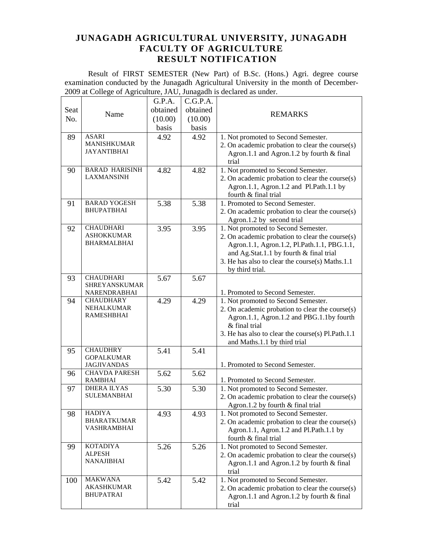Result of FIRST SEMESTER (New Part) of B.Sc. (Hons.) Agri. degree course examination conducted by the Junagadh Agricultural University in the month of December-2009 at College of Agriculture, JAU, Junagadh is declared as under.  $\overline{\phantom{a}}$ 

|      |                                        | G.P.A.   | C.G.P.A. |                                                   |
|------|----------------------------------------|----------|----------|---------------------------------------------------|
| Seat |                                        | obtained | obtained |                                                   |
| No.  | Name                                   | (10.00)  | (10.00)  | <b>REMARKS</b>                                    |
|      |                                        | basis    | basis    |                                                   |
| 89   | <b>ASARI</b>                           | 4.92     | 4.92     | 1. Not promoted to Second Semester.               |
|      | <b>MANISHKUMAR</b>                     |          |          | 2. On academic probation to clear the course(s)   |
|      | <b>JAYANTIBHAI</b>                     |          |          | Agron.1.1 and Agron.1.2 by fourth & final         |
|      |                                        |          |          | trial                                             |
| 90   | <b>BARAD HARISINH</b>                  | 4.82     | 4.82     | 1. Not promoted to Second Semester.               |
|      | <b>LAXMANSINH</b>                      |          |          | 2. On academic probation to clear the course(s)   |
|      |                                        |          |          | Agron.1.1, Agron.1.2 and Pl.Path.1.1 by           |
|      |                                        |          |          | fourth & final trial                              |
| 91   | <b>BARAD YOGESH</b>                    | 5.38     | 5.38     | 1. Promoted to Second Semester.                   |
|      | <b>BHUPATBHAI</b>                      |          |          | 2. On academic probation to clear the course(s)   |
|      |                                        |          |          | Agron.1.2 by second trial                         |
| 92   | <b>CHAUDHARI</b>                       | 3.95     | 3.95     | 1. Not promoted to Second Semester.               |
|      | <b>ASHOKKUMAR</b>                      |          |          | 2. On academic probation to clear the course(s)   |
|      | <b>BHARMALBHAI</b>                     |          |          | Agron.1.1, Agron.1.2, Pl.Path.1.1, PBG.1.1,       |
|      |                                        |          |          | and Ag.Stat.1.1 by fourth & final trial           |
|      |                                        |          |          | 3. He has also to clear the course(s) Maths.1.1   |
|      |                                        |          |          | by third trial.                                   |
| 93   | <b>CHAUDHARI</b>                       | 5.67     | 5.67     |                                                   |
|      | SHREYANSKUMAR<br>NARENDRABHAI          |          |          | 1. Promoted to Second Semester.                   |
| 94   | <b>CHAUDHARY</b>                       | 4.29     | 4.29     | 1. Not promoted to Second Semester.               |
|      | NEHALKUMAR                             |          |          | 2. On academic probation to clear the course(s)   |
|      | <b>RAMESHBHAI</b>                      |          |          | Agron.1.1, Agron.1.2 and PBG.1.1by fourth         |
|      |                                        |          |          | & final trial                                     |
|      |                                        |          |          | 3. He has also to clear the course(s) Pl.Path.1.1 |
|      |                                        |          |          | and Maths.1.1 by third trial                      |
| 95   | <b>CHAUDHRY</b>                        | 5.41     | 5.41     |                                                   |
|      | <b>GOPALKUMAR</b>                      |          |          |                                                   |
|      | <b>JAGJIVANDAS</b>                     |          |          | 1. Promoted to Second Semester.                   |
| 96   | <b>CHAVDA PARESH</b><br><b>RAMBHAI</b> | 5.62     | 5.62     | 1. Promoted to Second Semester.                   |
| 97   | <b>DHERA ILYAS</b>                     | 5.30     | 5.30     | 1. Not promoted to Second Semester.               |
|      | <b>SULEMANBHAI</b>                     |          |          | 2. On academic probation to clear the course(s)   |
|      |                                        |          |          | Agron.1.2 by fourth & final trial                 |
| 98   | <b>HADIYA</b>                          | 4.93     | 4.93     | 1. Not promoted to Second Semester.               |
|      | <b>BHARATKUMAR</b>                     |          |          | 2. On academic probation to clear the course(s)   |
|      | VASHRAMBHAI                            |          |          | Agron.1.1, Agron.1.2 and Pl.Path.1.1 by           |
|      |                                        |          |          | fourth & final trial                              |
| 99   | <b>KOTADIYA</b>                        | 5.26     | 5.26     | 1. Not promoted to Second Semester.               |
|      | <b>ALPESH</b>                          |          |          | 2. On academic probation to clear the course(s)   |
|      | <b>NANAJIBHAI</b>                      |          |          | Agron.1.1 and Agron.1.2 by fourth & final         |
|      |                                        |          |          | trial                                             |
| 100  | <b>MAKWANA</b>                         | 5.42     | 5.42     | 1. Not promoted to Second Semester.               |
|      | <b>AKASHKUMAR</b>                      |          |          | 2. On academic probation to clear the course(s)   |
|      | <b>BHUPATRAI</b>                       |          |          | Agron.1.1 and Agron.1.2 by fourth & final         |
|      |                                        |          |          | trial                                             |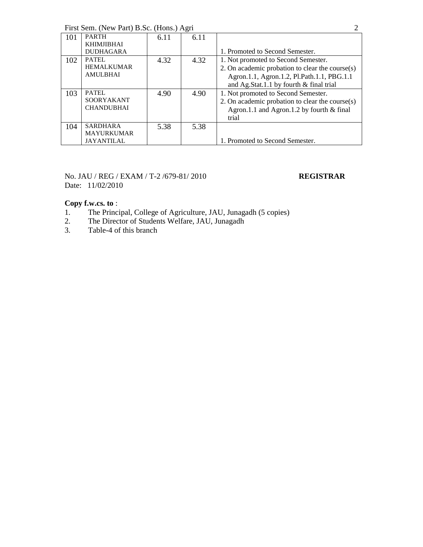First Sem. (New Part) B.Sc. (Hons.) Agri 2

| 101 | <b>PARTH</b><br><b>KHIMJIBHAI</b><br><b>DUDHAGARA</b>     | 6.11 | 6.11 | 1. Promoted to Second Semester.                                                                                                                                                 |
|-----|-----------------------------------------------------------|------|------|---------------------------------------------------------------------------------------------------------------------------------------------------------------------------------|
| 102 | PATEL<br><b>HEMALKUMAR</b><br><b>AMULBHAI</b>             | 4.32 | 4.32 | 1. Not promoted to Second Semester.<br>2. On academic probation to clear the course(s)<br>Agron.1.1, Agron.1.2, Pl.Path.1.1, PBG.1.1<br>and Ag.Stat.1.1 by fourth & final trial |
| 103 | PATEL.<br><b>SOORYAKANT</b><br><b>CHANDUBHAI</b>          | 4.90 | 4.90 | 1. Not promoted to Second Semester.<br>2. On academic probation to clear the course(s)<br>Agron.1.1 and Agron.1.2 by fourth $&$ final<br>trial                                  |
| 104 | <b>SARDHARA</b><br><b>MAYURKUMAR</b><br><b>JAYANTILAL</b> | 5.38 | 5.38 | 1. Promoted to Second Semester.                                                                                                                                                 |

### No. JAU / REG / EXAM / T-2 /679-81/ 2010 **REGISTRAR** Date: 11/02/2010

- 1. The Principal, College of Agriculture, JAU, Junagadh (5 copies)
- 2. The Director of Students Welfare, JAU, Junagadh
- 3. Table-4 of this branch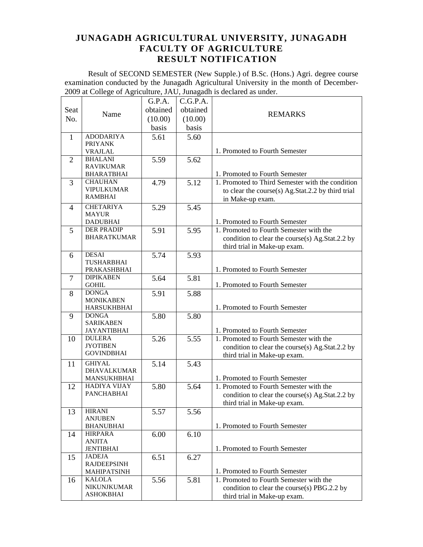Result of SECOND SEMESTER (New Supple.) of B.Sc. (Hons.) Agri. degree course examination conducted by the Junagadh Agricultural University in the month of December-2009 at College of Agriculture, JAU, Junagadh is declared as under.  $\overline{\phantom{a}}$ 

|                |                                     | G.P.A.   | C.G.P.A. |                                                                                    |
|----------------|-------------------------------------|----------|----------|------------------------------------------------------------------------------------|
| Seat           |                                     | obtained | obtained |                                                                                    |
| No.            | Name                                | (10.00)  | (10.00)  | <b>REMARKS</b>                                                                     |
|                |                                     | basis    | basis    |                                                                                    |
| $\mathbf{1}$   | <b>ADODARIYA</b>                    | 5.61     | 5.60     |                                                                                    |
|                | <b>PRIYANK</b>                      |          |          |                                                                                    |
|                | <b>VRAJLAL</b>                      |          |          | 1. Promoted to Fourth Semester                                                     |
| $\overline{2}$ | <b>BHALANI</b>                      | 5.59     | 5.62     |                                                                                    |
|                | <b>RAVIKUMAR</b>                    |          |          |                                                                                    |
|                | <b>BHARATBHAI</b><br><b>CHAUHAN</b> |          |          | 1. Promoted to Fourth Semester<br>1. Promoted to Third Semester with the condition |
| 3              | <b>VIPULKUMAR</b>                   | 4.79     | 5.12     | to clear the course(s) Ag.Stat.2.2 by third trial                                  |
|                | <b>RAMBHAI</b>                      |          |          | in Make-up exam.                                                                   |
| 4              | <b>CHETARIYA</b>                    | 5.29     | 5.45     |                                                                                    |
|                | <b>MAYUR</b>                        |          |          |                                                                                    |
|                | <b>DADUBHAI</b>                     |          |          | 1. Promoted to Fourth Semester                                                     |
| 5              | <b>DER PRADIP</b>                   | 5.91     | 5.95     | 1. Promoted to Fourth Semester with the                                            |
|                | <b>BHARATKUMAR</b>                  |          |          | condition to clear the course(s) Ag.Stat.2.2 by                                    |
|                |                                     |          |          | third trial in Make-up exam.                                                       |
| 6              | <b>DESAI</b>                        | 5.74     | 5.93     |                                                                                    |
|                | <b>TUSHARBHAI</b><br>PRAKASHBHAI    |          |          | 1. Promoted to Fourth Semester                                                     |
| 7              | <b>DIPIKABEN</b>                    | 5.64     | 5.81     |                                                                                    |
|                | <b>GOHIL</b>                        |          |          | 1. Promoted to Fourth Semester                                                     |
| 8              | <b>DONGA</b>                        | 5.91     | 5.88     |                                                                                    |
|                | <b>MONIKABEN</b>                    |          |          |                                                                                    |
|                | <b>HARSUKHBHAI</b>                  |          |          | 1. Promoted to Fourth Semester                                                     |
| 9              | <b>DONGA</b><br><b>SARIKABEN</b>    | 5.80     | 5.80     |                                                                                    |
|                | <b>JAYANTIBHAI</b>                  |          |          | 1. Promoted to Fourth Semester                                                     |
| 10             | <b>DULERA</b>                       | 5.26     | 5.55     | 1. Promoted to Fourth Semester with the                                            |
|                | <b>JYOTIBEN</b>                     |          |          | condition to clear the course(s) Ag.Stat.2.2 by                                    |
|                | <b>GOVINDBHAI</b>                   |          |          | third trial in Make-up exam.                                                       |
| 11             | <b>GHIYAL</b>                       | 5.14     | 5.43     |                                                                                    |
|                | <b>DHAVALKUMAR</b>                  |          |          |                                                                                    |
|                | MANSUKHBHAI                         |          |          | 1. Promoted to Fourth Semester                                                     |
| 12             | HADIYA VIJAY<br><b>PANCHABHAI</b>   | 5.80     | 5.64     | 1. Promoted to Fourth Semester with the                                            |
|                |                                     |          |          | condition to clear the course(s) Ag.Stat.2.2 by                                    |
| 13             | <b>HIRANI</b>                       | 5.57     |          | third trial in Make-up exam.                                                       |
|                | <b>ANJUBEN</b>                      |          | 5.56     |                                                                                    |
|                | <b>BHANUBHAI</b>                    |          |          | 1. Promoted to Fourth Semester                                                     |
| 14             | <b>HIRPARA</b>                      | 6.00     | 6.10     |                                                                                    |
|                | <b>ANJITA</b>                       |          |          |                                                                                    |
|                | <b>JENTIBHAI</b>                    |          |          | 1. Promoted to Fourth Semester                                                     |
| 15             | <b>JADEJA</b><br><b>RAJDEEPSINH</b> | 6.51     | 6.27     |                                                                                    |
|                | <b>MAHIPATSINH</b>                  |          |          | 1. Promoted to Fourth Semester                                                     |
| 16             | <b>KALOLA</b>                       | 5.56     | 5.81     | 1. Promoted to Fourth Semester with the                                            |
|                | NIKUNJKUMAR                         |          |          | condition to clear the course(s) PBG.2.2 by                                        |
|                | <b>ASHOKBHAI</b>                    |          |          | third trial in Make-up exam.                                                       |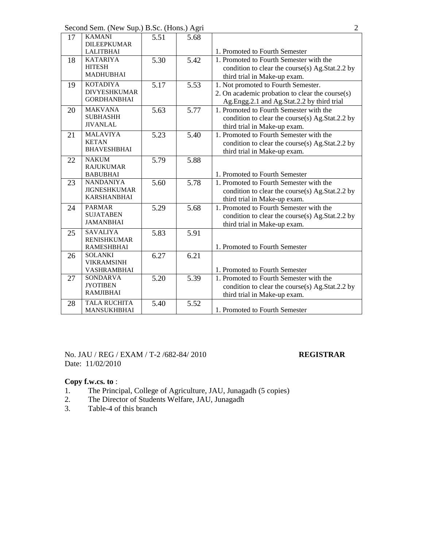Second Sem. (New Sup.) B.Sc. (Hons.) Agri 2

| 17 | <b>KAMANI</b><br><b>DILEEPKUMAR</b>                           | 5.51 | 5.68              |                                                                                                                                      |
|----|---------------------------------------------------------------|------|-------------------|--------------------------------------------------------------------------------------------------------------------------------------|
|    | <b>LALITBHAI</b>                                              |      |                   | 1. Promoted to Fourth Semester                                                                                                       |
| 18 | <b>KATARIYA</b><br><b>HITESH</b><br><b>MADHUBHAI</b>          | 5.30 | 5.42              | 1. Promoted to Fourth Semester with the<br>condition to clear the course(s) Ag.Stat.2.2 by<br>third trial in Make-up exam.           |
| 19 | <b>KOTADIYA</b><br><b>DIVYESHKUMAR</b><br><b>GORDHANBHAI</b>  | 5.17 | 5.53              | 1. Not promoted to Fourth Semester.<br>2. On academic probation to clear the course(s)<br>Ag.Engg.2.1 and Ag.Stat.2.2 by third trial |
| 20 | <b>MAKVANA</b><br><b>SUBHASHH</b><br><b>JIVANLAL</b>          | 5.63 | 5.77              | 1. Promoted to Fourth Semester with the<br>condition to clear the course(s) Ag.Stat.2.2 by<br>third trial in Make-up exam.           |
| 21 | <b>MALAVIYA</b><br><b>KETAN</b><br><b>BHAVESHBHAI</b>         | 5.23 | 5.40              | 1. Promoted to Fourth Semester with the<br>condition to clear the course(s) Ag.Stat.2.2 by<br>third trial in Make-up exam.           |
| 22 | <b>NAKUM</b><br><b>RAJUKUMAR</b><br><b>BABUBHAI</b>           | 5.79 | 5.88              | 1. Promoted to Fourth Semester                                                                                                       |
| 23 | <b>NANDANIYA</b><br><b>JIGNESHKUMAR</b><br><b>KARSHANBHAI</b> | 5.60 | $\overline{5.78}$ | 1. Promoted to Fourth Semester with the<br>condition to clear the course(s) Ag.Stat.2.2 by<br>third trial in Make-up exam.           |
| 24 | <b>PARMAR</b><br><b>SUJATABEN</b><br><b>JAMANBHAI</b>         | 5.29 | 5.68              | 1. Promoted to Fourth Semester with the<br>condition to clear the course(s) Ag.Stat.2.2 by<br>third trial in Make-up exam.           |
| 25 | <b>SAVALIYA</b><br><b>RENISHKUMAR</b><br><b>RAMESHBHAI</b>    | 5.83 | 5.91              | 1. Promoted to Fourth Semester                                                                                                       |
| 26 | <b>SOLANKI</b><br><b>VIKRAMSINH</b><br>VASHRAMBHAI            | 6.27 | 6.21              | 1. Promoted to Fourth Semester                                                                                                       |
| 27 | <b>SONDARVA</b><br><b>JYOTIBEN</b><br><b>RAMJIBHAI</b>        | 5.20 | 5.39              | 1. Promoted to Fourth Semester with the<br>condition to clear the course(s) Ag.Stat.2.2 by<br>third trial in Make-up exam.           |
| 28 | <b>TALA RUCHITA</b><br>MANSUKHBHAI                            | 5.40 | 5.52              | 1. Promoted to Fourth Semester                                                                                                       |

No. JAU / REG / EXAM / T-2 /682-84/ 2010 **REGISTRAR** Date: 11/02/2010

- 1. The Principal, College of Agriculture, JAU, Junagadh (5 copies)
- 2. The Director of Students Welfare, JAU, Junagadh
- 3. Table-4 of this branch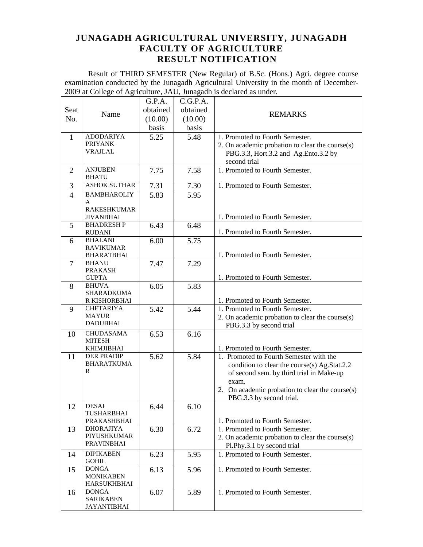Result of THIRD SEMESTER (New Regular) of B.Sc. (Hons.) Agri. degree course examination conducted by the Junagadh Agricultural University in the month of December-2009 at College of Agriculture, JAU, Junagadh is declared as under.  $\overline{\phantom{a}}$ 

|                |                                        | G.P.A.   | C.G.P.A. |                                                                                          |
|----------------|----------------------------------------|----------|----------|------------------------------------------------------------------------------------------|
| Seat           |                                        | obtained | obtained |                                                                                          |
| No.            | Name                                   | (10.00)  | (10.00)  | <b>REMARKS</b>                                                                           |
|                |                                        | basis    | basis    |                                                                                          |
| 1              | <b>ADODARIYA</b>                       | 5.25     | 5.48     | 1. Promoted to Fourth Semester.                                                          |
|                | <b>PRIYANK</b>                         |          |          | 2. On academic probation to clear the course(s)                                          |
|                | <b>VRAJLAL</b>                         |          |          | PBG.3.3, Hort.3.2 and Ag.Ento.3.2 by                                                     |
|                |                                        |          |          | second trial                                                                             |
| 2              | <b>ANJUBEN</b>                         | 7.75     | 7.58     | 1. Promoted to Fourth Semester.                                                          |
|                | <b>BHATU</b>                           |          |          |                                                                                          |
| 3              | <b>ASHOK SUTHAR</b>                    | 7.31     | 7.30     | 1. Promoted to Fourth Semester.                                                          |
| $\overline{4}$ | <b>BAMBHAROLIY</b>                     | 5.83     | 5.95     |                                                                                          |
|                | A                                      |          |          |                                                                                          |
|                | <b>RAKESHKUMAR</b>                     |          |          |                                                                                          |
| 5              | <b>JIVANBHAI</b><br><b>BHADRESHP</b>   | 6.43     | 6.48     | 1. Promoted to Fourth Semester.                                                          |
|                | <b>RUDANI</b>                          |          |          | 1. Promoted to Fourth Semester.                                                          |
| 6              | <b>BHALANI</b>                         | 6.00     | 5.75     |                                                                                          |
|                | <b>RAVIKUMAR</b>                       |          |          |                                                                                          |
|                | <b>BHARATBHAI</b>                      |          |          | 1. Promoted to Fourth Semester.                                                          |
| 7              | <b>BHANU</b>                           | 7.47     | 7.29     |                                                                                          |
|                | <b>PRAKASH</b><br><b>GUPTA</b>         |          |          | 1. Promoted to Fourth Semester.                                                          |
| 8              | <b>BHUVA</b>                           | 6.05     | 5.83     |                                                                                          |
|                | SHARADKUMA                             |          |          |                                                                                          |
|                | R KISHORBHAI                           |          |          | 1. Promoted to Fourth Semester.                                                          |
| 9              | <b>CHETARIYA</b>                       | 5.42     | 5.44     | 1. Promoted to Fourth Semester.                                                          |
|                | <b>MAYUR</b>                           |          |          | 2. On academic probation to clear the course(s)                                          |
|                | <b>DADUBHAI</b>                        |          |          | PBG.3.3 by second trial                                                                  |
| 10             | <b>CHUDASAMA</b>                       | 6.53     | 6.16     |                                                                                          |
|                | <b>MITESH</b>                          |          |          |                                                                                          |
|                | <b>KHIMJIBHAI</b><br><b>DER PRADIP</b> |          |          | 1. Promoted to Fourth Semester.                                                          |
| 11             | <b>BHARATKUMA</b>                      | 5.62     | 5.84     | 1. Promoted to Fourth Semester with the                                                  |
|                | R                                      |          |          | condition to clear the course(s) Ag.Stat.2.2<br>of second sem. by third trial in Make-up |
|                |                                        |          |          | exam.                                                                                    |
|                |                                        |          |          | 2. On academic probation to clear the course(s)                                          |
|                |                                        |          |          | PBG.3.3 by second trial.                                                                 |
| 12             | <b>DESAI</b>                           | 6.44     | 6.10     |                                                                                          |
|                | TUSHARBHAI                             |          |          |                                                                                          |
|                | PRAKASHBHAI                            |          |          | 1. Promoted to Fourth Semester.                                                          |
| 13             | <b>DHORAJIYA</b>                       | 6.30     | 6.72     | 1. Promoted to Fourth Semester.                                                          |
|                | PIYUSHKUMAR<br><b>PRAVINBHAI</b>       |          |          | 2. On academic probation to clear the course(s)                                          |
|                |                                        |          |          | Pl.Phy.3.1 by second trial                                                               |
| 14             | <b>DIPIKABEN</b><br><b>GOHIL</b>       | 6.23     | 5.95     | 1. Promoted to Fourth Semester.                                                          |
| 15             | <b>DONGA</b>                           | 6.13     | 5.96     | 1. Promoted to Fourth Semester.                                                          |
|                | <b>MONIKABEN</b>                       |          |          |                                                                                          |
|                | <b>HARSUKHBHAI</b>                     |          |          |                                                                                          |
| 16             | <b>DONGA</b>                           | 6.07     | 5.89     | 1. Promoted to Fourth Semester.                                                          |
|                | <b>SARIKABEN</b>                       |          |          |                                                                                          |
|                | <b>JAYANTIBHAI</b>                     |          |          |                                                                                          |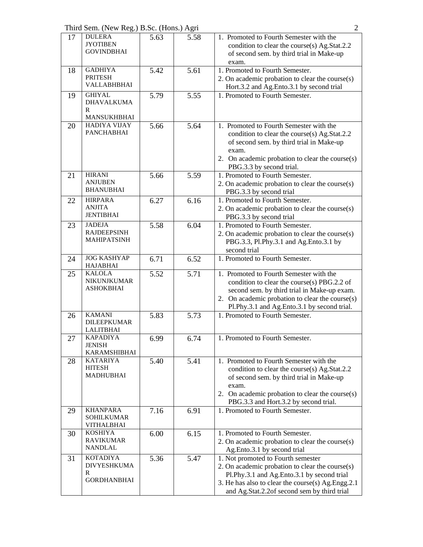Third Sem. (New Reg.) B.Sc. (Hons.) Agri 2

| 17 | <b>DULERA</b><br><b>JYOTIBEN</b><br><b>GOVINDBHAI</b>            | 5.63 | 5.58 | 1. Promoted to Fourth Semester with the<br>condition to clear the course(s) Ag.Stat.2.2<br>of second sem. by third trial in Make-up<br>exam.                                                                                              |
|----|------------------------------------------------------------------|------|------|-------------------------------------------------------------------------------------------------------------------------------------------------------------------------------------------------------------------------------------------|
| 18 | <b>GADHIYA</b><br><b>PRITESH</b><br>VALLABHBHAI                  | 5.42 | 5.61 | 1. Promoted to Fourth Semester.<br>2. On academic probation to clear the course(s)<br>Hort.3.2 and Ag.Ento.3.1 by second trial                                                                                                            |
| 19 | <b>GHIYAL</b><br><b>DHAVALKUMA</b><br>R<br><b>MANSUKHBHAI</b>    | 5.79 | 5.55 | 1. Promoted to Fourth Semester.                                                                                                                                                                                                           |
| 20 | <b>HADIYA VIJAY</b><br><b>PANCHABHAI</b>                         | 5.66 | 5.64 | 1. Promoted to Fourth Semester with the<br>condition to clear the course(s) Ag.Stat.2.2<br>of second sem. by third trial in Make-up<br>exam.<br>2. On academic probation to clear the course(s)<br>PBG.3.3 by second trial.               |
| 21 | <b>HIRANI</b><br><b>ANJUBEN</b><br><b>BHANUBHAI</b>              | 5.66 | 5.59 | 1. Promoted to Fourth Semester.<br>2. On academic probation to clear the course(s)<br>PBG.3.3 by second trial                                                                                                                             |
| 22 | <b>HIRPARA</b><br><b>ANJITA</b><br><b>JENTIBHAI</b>              | 6.27 | 6.16 | 1. Promoted to Fourth Semester.<br>2. On academic probation to clear the course(s)<br>PBG.3.3 by second trial                                                                                                                             |
| 23 | <b>JADEJA</b><br><b>RAJDEEPSINH</b><br><b>MAHIPATSINH</b>        | 5.58 | 6.04 | 1. Promoted to Fourth Semester.<br>2. On academic probation to clear the course(s)<br>PBG.3.3, Pl.Phy.3.1 and Ag.Ento.3.1 by<br>second trial                                                                                              |
| 24 | <b>JOG KASHYAP</b><br><b>HAJABHAI</b>                            | 6.71 | 6.52 | 1. Promoted to Fourth Semester.                                                                                                                                                                                                           |
| 25 | <b>KALOLA</b><br><b>NIKUNJKUMAR</b><br><b>ASHOKBHAI</b>          | 5.52 | 5.71 | 1. Promoted to Fourth Semester with the<br>condition to clear the course(s) PBG.2.2 of<br>second sem. by third trial in Make-up exam.<br>2. On academic probation to clear the course(s)<br>Pl.Phy.3.1 and Ag.Ento.3.1 by second trial.   |
| 26 | <b>KAMANI</b><br><b>DILEEPKUMAR</b><br><b>LALITBHAI</b>          | 5.83 | 5.73 | 1. Promoted to Fourth Semester.                                                                                                                                                                                                           |
| 27 | <b>KAPADIYA</b><br><b>JENISH</b><br><b>KARAMSHIBHAI</b>          | 6.99 | 6.74 | 1. Promoted to Fourth Semester.                                                                                                                                                                                                           |
| 28 | <b>KATARIYA</b><br><b>HITESH</b><br><b>MADHUBHAI</b>             | 5.40 | 5.41 | 1. Promoted to Fourth Semester with the<br>condition to clear the course(s) Ag.Stat.2.2<br>of second sem. by third trial in Make-up<br>exam.<br>2. On academic probation to clear the course(s)<br>PBG.3.3 and Hort.3.2 by second trial.  |
| 29 | <b>KHANPARA</b><br><b>SOHILKUMAR</b><br><b>VITHALBHAI</b>        | 7.16 | 6.91 | 1. Promoted to Fourth Semester.                                                                                                                                                                                                           |
| 30 | <b>KOSHIYA</b><br><b>RAVIKUMAR</b><br><b>NANDLAL</b>             | 6.00 | 6.15 | 1. Promoted to Fourth Semester.<br>2. On academic probation to clear the course(s)<br>Ag.Ento.3.1 by second trial                                                                                                                         |
| 31 | <b>KOTADIYA</b><br><b>DIVYESHKUMA</b><br>R<br><b>GORDHANBHAI</b> | 5.36 | 5.47 | 1. Not promoted to Fourth semester<br>2. On academic probation to clear the course(s)<br>Pl.Phy.3.1 and Ag.Ento.3.1 by second trial<br>3. He has also to clear the course(s) Ag. Engg. 2.1<br>and Ag.Stat.2.2of second sem by third trial |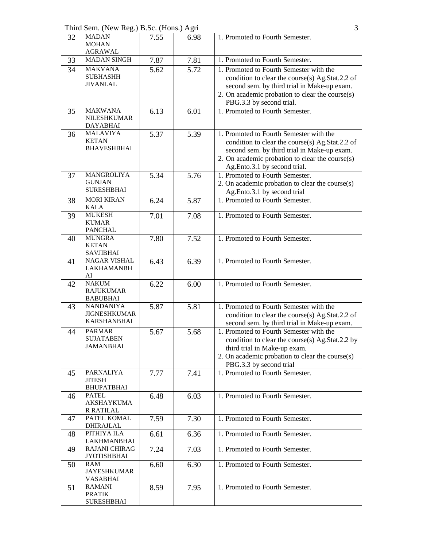Third Sem. (New Reg.) B.Sc. (Hons.) Agri 3

| 32 | <b>MADAN</b><br><b>MOHAN</b><br>AGRAWAL                       | 7.55 | 6.98 | 1. Promoted to Fourth Semester.                                                                                                                                                                                              |
|----|---------------------------------------------------------------|------|------|------------------------------------------------------------------------------------------------------------------------------------------------------------------------------------------------------------------------------|
| 33 | <b>MADAN SINGH</b>                                            | 7.87 | 7.81 | 1. Promoted to Fourth Semester.                                                                                                                                                                                              |
| 34 | <b>MAKVANA</b><br><b>SUBHASHH</b><br><b>JIVANLAL</b>          | 5.62 | 5.72 | 1. Promoted to Fourth Semester with the<br>condition to clear the course(s) Ag.Stat.2.2 of<br>second sem. by third trial in Make-up exam.<br>2. On academic probation to clear the course(s)<br>PBG.3.3 by second trial.     |
| 35 | <b>MAKWANA</b><br>NILESHKUMAR<br><b>DAYABHAI</b>              | 6.13 | 6.01 | 1. Promoted to Fourth Semester.                                                                                                                                                                                              |
| 36 | <b>MALAVIYA</b><br><b>KETAN</b><br><b>BHAVESHBHAI</b>         | 5.37 | 5.39 | 1. Promoted to Fourth Semester with the<br>condition to clear the course(s) Ag.Stat.2.2 of<br>second sem. by third trial in Make-up exam.<br>2. On academic probation to clear the course(s)<br>Ag.Ento.3.1 by second trial. |
| 37 | MANGROLIYA<br><b>GUNJAN</b><br><b>SURESHBHAI</b>              | 5.34 | 5.76 | 1. Promoted to Fourth Semester.<br>2. On academic probation to clear the course(s)<br>Ag.Ento.3.1 by second trial                                                                                                            |
| 38 | <b>MORI KIRAN</b><br><b>KALA</b>                              | 6.24 | 5.87 | 1. Promoted to Fourth Semester.                                                                                                                                                                                              |
| 39 | <b>MUKESH</b><br><b>KUMAR</b><br><b>PANCHAL</b>               | 7.01 | 7.08 | 1. Promoted to Fourth Semester.                                                                                                                                                                                              |
| 40 | <b>MUNGRA</b><br><b>KETAN</b><br><b>SAVJIBHAI</b>             | 7.80 | 7.52 | 1. Promoted to Fourth Semester.                                                                                                                                                                                              |
| 41 | <b>NAGAR VISHAL</b><br><b>LAKHAMANBH</b><br>AI                | 6.43 | 6.39 | 1. Promoted to Fourth Semester.                                                                                                                                                                                              |
| 42 | <b>NAKUM</b><br><b>RAJUKUMAR</b><br><b>BABUBHAI</b>           | 6.22 | 6.00 | 1. Promoted to Fourth Semester.                                                                                                                                                                                              |
| 43 | <b>NANDANIYA</b><br><b>JIGNESHKUMAR</b><br><b>KARSHANBHAI</b> | 5.87 | 5.81 | 1. Promoted to Fourth Semester with the<br>condition to clear the course(s) Ag.Stat.2.2 of<br>second sem. by third trial in Make-up exam.                                                                                    |
| 44 | <b>PARMAR</b><br><b>SUJATABEN</b><br>JAMANBHAI                | 5.67 | 5.68 | 1. Promoted to Fourth Semester with the<br>condition to clear the course(s) Ag.Stat.2.2 by<br>third trial in Make-up exam.<br>2. On academic probation to clear the course(s)<br>PBG.3.3 by second trial                     |
| 45 | <b>PARNALIYA</b><br><b>JITESH</b><br><b>BHUPATBHAI</b>        | 7.77 | 7.41 | 1. Promoted to Fourth Semester.                                                                                                                                                                                              |
| 46 | <b>PATEL</b><br><b>AKSHAYKUMA</b><br><b>R RATILAL</b>         | 6.48 | 6.03 | 1. Promoted to Fourth Semester.                                                                                                                                                                                              |
| 47 | PATEL KOMAL<br>DHIRAJLAL                                      | 7.59 | 7.30 | 1. Promoted to Fourth Semester.                                                                                                                                                                                              |
| 48 | PITHIYA ILA<br>LAKHMANBHAI                                    | 6.61 | 6.36 | 1. Promoted to Fourth Semester.                                                                                                                                                                                              |
| 49 | <b>RAJANI CHIRAG</b><br><b>JYOTISHBHAI</b>                    | 7.24 | 7.03 | 1. Promoted to Fourth Semester.                                                                                                                                                                                              |
| 50 | RAM<br><b>JAYESHKUMAR</b><br><b>VASABHAI</b>                  | 6.60 | 6.30 | 1. Promoted to Fourth Semester.                                                                                                                                                                                              |
| 51 | <b>RAMANI</b><br><b>PRATIK</b><br><b>SURESHBHAI</b>           | 8.59 | 7.95 | 1. Promoted to Fourth Semester.                                                                                                                                                                                              |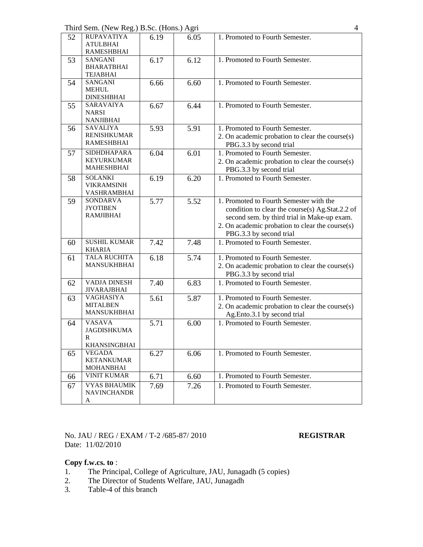Third Sem. (New Reg.) B.Sc. (Hons.) Agri 4

| 52 | <b>RUPAVATIYA</b><br><b>ATULBHAI</b><br><b>RAMESHBHAI</b>       | 6.19 | 6.05 | 1. Promoted to Fourth Semester.                                                                                                                                                                                         |
|----|-----------------------------------------------------------------|------|------|-------------------------------------------------------------------------------------------------------------------------------------------------------------------------------------------------------------------------|
| 53 | <b>SANGANI</b><br><b>BHARATBHAI</b><br><b>TEJABHAI</b>          | 6.17 | 6.12 | 1. Promoted to Fourth Semester.                                                                                                                                                                                         |
| 54 | <b>SANGANI</b><br><b>MEHUL</b><br><b>DINESHBHAI</b>             | 6.66 | 6.60 | 1. Promoted to Fourth Semester.                                                                                                                                                                                         |
| 55 | <b>SARAVAIYA</b><br><b>NARSI</b><br><b>NANJIBHAI</b>            | 6.67 | 6.44 | 1. Promoted to Fourth Semester.                                                                                                                                                                                         |
| 56 | <b>SAVALIYA</b><br><b>RENISHKUMAR</b><br><b>RAMESHBHAI</b>      | 5.93 | 5.91 | 1. Promoted to Fourth Semester.<br>2. On academic probation to clear the course(s)<br>PBG.3.3 by second trial                                                                                                           |
| 57 | <b>SIDHDHAPARA</b><br><b>KEYURKUMAR</b><br><b>MAHESHBHAI</b>    | 6.04 | 6.01 | 1. Promoted to Fourth Semester.<br>2. On academic probation to clear the course(s)<br>PBG.3.3 by second trial                                                                                                           |
| 58 | <b>SOLANKI</b><br><b>VIKRAMSINH</b><br>VASHRAMBHAI              | 6.19 | 6.20 | 1. Promoted to Fourth Semester.                                                                                                                                                                                         |
| 59 | <b>SONDARVA</b><br><b>JYOTIBEN</b><br><b>RAMJIBHAI</b>          | 5.77 | 5.52 | 1. Promoted to Fourth Semester with the<br>condition to clear the course(s) Ag.Stat.2.2 of<br>second sem. by third trial in Make-up exam.<br>2. On academic probation to clear the course(s)<br>PBG.3.3 by second trial |
| 60 | <b>SUSHIL KUMAR</b><br><b>KHARIA</b>                            | 7.42 | 7.48 | 1. Promoted to Fourth Semester.                                                                                                                                                                                         |
| 61 | <b>TALA RUCHITA</b><br><b>MANSUKHBHAI</b>                       | 6.18 | 5.74 | 1. Promoted to Fourth Semester.<br>2. On academic probation to clear the course(s)<br>PBG.3.3 by second trial                                                                                                           |
| 62 | VADJA DINESH<br><b>JIVARAJBHAI</b>                              | 7.40 | 6.83 | 1. Promoted to Fourth Semester.                                                                                                                                                                                         |
| 63 | <b>VAGHASIYA</b><br><b>MITALBEN</b><br>MANSUKHBHAI              | 5.61 | 5.87 | 1. Promoted to Fourth Semester.<br>2. On academic probation to clear the course(s)<br>Ag.Ento.3.1 by second trial                                                                                                       |
| 64 | <b>VASAVA</b><br><b>JAGDISHKUMA</b><br>R<br><b>KHANSINGBHAI</b> | 5.71 | 6.00 | 1. Promoted to Fourth Semester.                                                                                                                                                                                         |
| 65 | <b>VEGADA</b><br><b>KETANKUMAR</b><br><b>MOHANBHAI</b>          | 6.27 | 6.06 | 1. Promoted to Fourth Semester.                                                                                                                                                                                         |
| 66 | <b>VINIT KUMAR</b>                                              | 6.71 | 6.60 | 1. Promoted to Fourth Semester.                                                                                                                                                                                         |
| 67 | <b>VYAS BHAUMIK</b><br><b>NAVINCHANDR</b><br>A                  | 7.69 | 7.26 | 1. Promoted to Fourth Semester.                                                                                                                                                                                         |

No. JAU / REG / EXAM / T-2 /685-87/ 2010 **REGISTRAR** Date: 11/02/2010

- 1. The Principal, College of Agriculture, JAU, Junagadh (5 copies)
- 2. The Director of Students Welfare, JAU, Junagadh
- 3. Table-4 of this branch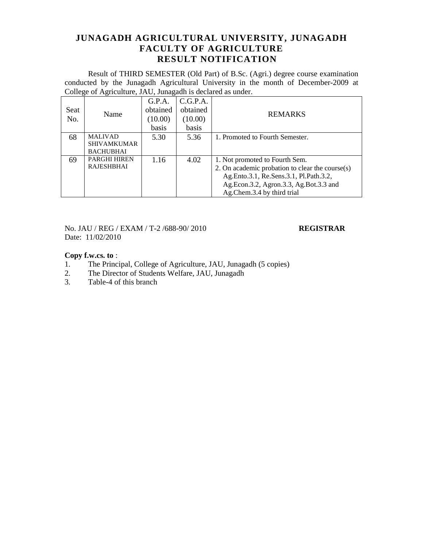Result of THIRD SEMESTER (Old Part) of B.Sc. (Agri.) degree course examination conducted by the Junagadh Agricultural University in the month of December-2009 at College of Agriculture, JAU, Junagadh is declared as under.

| Seat<br>No. | Name                                     | G.P.A.<br>obtained<br>(10.00)<br>basis | C.G.P.A.<br>obtained<br>(10.00)<br>basis | <b>REMARKS</b>                                                                                                                                                                                      |
|-------------|------------------------------------------|----------------------------------------|------------------------------------------|-----------------------------------------------------------------------------------------------------------------------------------------------------------------------------------------------------|
| 68          | <b>MALIVAD</b><br><b>SHIVAMKUMAR</b>     | 5.30                                   | 5.36                                     | 1. Promoted to Fourth Semester.                                                                                                                                                                     |
|             | <b>BACHUBHAI</b>                         |                                        |                                          |                                                                                                                                                                                                     |
| 69          | <b>PARGHI HIREN</b><br><b>RAJESHBHAI</b> | 1.16                                   | 4.02                                     | 1. Not promoted to Fourth Sem.<br>2. On academic probation to clear the course(s)<br>Ag.Ento.3.1, Re.Sens.3.1, Pl.Path.3.2,<br>Ag.Econ.3.2, Agron.3.3, Ag.Bot.3.3 and<br>Ag.Chem.3.4 by third trial |

No. JAU / REG / EXAM / T-2 /688-90/ 2010 **REGISTRAR** Date: 11/02/2010

- 1. The Principal, College of Agriculture, JAU, Junagadh (5 copies)
- 2. The Director of Students Welfare, JAU, Junagadh
- 3. Table-4 of this branch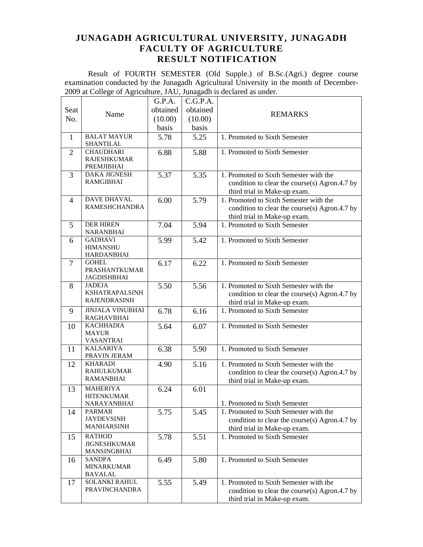Result of FOURTH SEMESTER (Old Supple.) of B.Sc.(Agri.) degree course examination conducted by the Junagadh Agricultural University in the month of December-2009 at College of Agriculture, JAU, Junagadh is declared as under.  $\overline{\phantom{a}}$ 

|                |                                        | G.P.A.   | C.G.P.A. |                                               |
|----------------|----------------------------------------|----------|----------|-----------------------------------------------|
| Seat           |                                        | obtained | obtained |                                               |
| No.            | Name                                   | (10.00)  | (10.00)  | <b>REMARKS</b>                                |
|                |                                        | basis    | basis    |                                               |
| $\mathbf{1}$   | <b>BALAT MAYUR</b><br><b>SHANTILAL</b> | 5.78     | 5.25     | 1. Promoted to Sixth Semester                 |
| $\overline{2}$ | <b>CHAUDHARI</b>                       | 6.88     | 5.88     | 1. Promoted to Sixth Semester                 |
|                | <b>RAJESHKUMAR</b>                     |          |          |                                               |
|                | PREMJIBHAI                             |          |          |                                               |
| 3              | <b>DAKA JIGNESH</b>                    | 5.37     | 5.35     | 1. Promoted to Sixth Semester with the        |
|                | <b>RAMGIBHAI</b>                       |          |          | condition to clear the course(s) Agron.4.7 by |
|                |                                        |          |          | third trial in Make-up exam.                  |
| $\overline{4}$ | <b>DAVE DHAVAL</b>                     | 6.00     | 5.79     | 1. Promoted to Sixth Semester with the        |
|                | <b>RAMESHCHANDRA</b>                   |          |          | condition to clear the course(s) Agron.4.7 by |
|                |                                        |          |          | third trial in Make-up exam.                  |
| 5              | <b>DER HIREN</b>                       | 7.04     | 5.94     | 1. Promoted to Sixth Semester                 |
|                | <b>NARANBHAI</b>                       |          |          |                                               |
| 6              | <b>GADHAVI</b>                         | 5.99     | 5.42     | 1. Promoted to Sixth Semester                 |
|                | <b>HIMANSHU</b><br><b>HARDANBHAI</b>   |          |          |                                               |
| 7              | <b>GOHEL</b>                           | 6.17     | 6.22     | 1. Promoted to Sixth Semester                 |
|                | <b>PRASHANTKUMAR</b>                   |          |          |                                               |
|                | <b>JAGDISHBHAI</b>                     |          |          |                                               |
| 8              | <b>JADEJA</b>                          | 5.50     | 5.56     | 1. Promoted to Sixth Semester with the        |
|                | <b>KSHATRAPALSINH</b>                  |          |          | condition to clear the course(s) Agron.4.7 by |
|                | <b>RAJENDRASINH</b>                    |          |          | third trial in Make-up exam.                  |
| 9              | <b>JINJALA VINUBHAI</b>                | 6.78     | 6.16     | 1. Promoted to Sixth Semester                 |
|                | <b>RAGHAVBHAI</b>                      |          |          |                                               |
| 10             | <b>KACHHADIA</b>                       | 5.64     | 6.07     | 1. Promoted to Sixth Semester                 |
|                | <b>MAYUR</b>                           |          |          |                                               |
|                | <b>VASANTRAI</b>                       |          |          |                                               |
| 11             | <b>KALSARIYA</b><br>PRAVIN JERAM       | 6.38     | 5.90     | 1. Promoted to Sixth Semester                 |
| 12             | <b>KHARADI</b>                         | 4.90     | 5.16     | 1. Promoted to Sixth Semester with the        |
|                | <b>RAHULKUMAR</b>                      |          |          | condition to clear the course(s) Agron.4.7 by |
|                | <b>RAMANBHAI</b>                       |          |          | third trial in Make-up exam.                  |
| 13             | <b>MAHERIYA</b>                        | 6.24     | 6.01     |                                               |
|                | <b>HITENKUMAR</b>                      |          |          |                                               |
|                | NARAYANBHAI                            |          |          | 1. Promoted to Sixth Semester                 |
| 14             | <b>PARMAR</b>                          | 5.75     | 5.45     | 1. Promoted to Sixth Semester with the        |
|                | <b>JAYDEVSINH</b>                      |          |          | condition to clear the course(s) Agron.4.7 by |
|                | <b>MANHARSINH</b>                      |          |          | third trial in Make-up exam.                  |
| 15             | <b>RATHOD</b>                          | 5.78     | 5.51     | 1. Promoted to Sixth Semester                 |
|                | <b>JIGNESHKUMAR</b>                    |          |          |                                               |
|                | MANSINGBHAI                            |          |          |                                               |
| 16             | SANDPA                                 | 6.49     | 5.80     | 1. Promoted to Sixth Semester                 |
|                | <b>MINARKUMAR</b><br><b>BAVALAL</b>    |          |          |                                               |
| 17             | <b>SOLANKI RAHUL</b>                   | 5.55     | 5.49     | 1. Promoted to Sixth Semester with the        |
|                | <b>PRAVINCHANDRA</b>                   |          |          | condition to clear the course(s) Agron.4.7 by |
|                |                                        |          |          | third trial in Make-up exam.                  |
|                |                                        |          |          |                                               |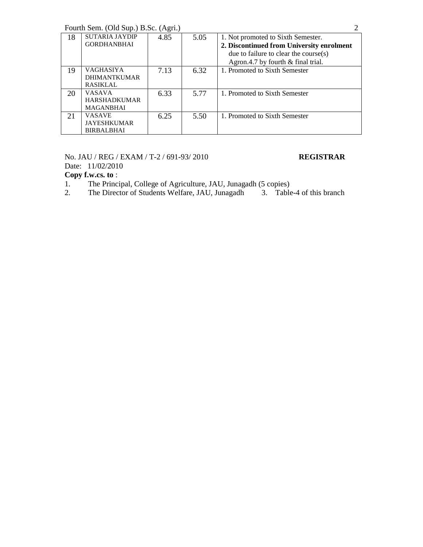| Fourth Sem. (Old Sup.) B.Sc. (Agri.) |  |
|--------------------------------------|--|
|                                      |  |

|    |                       | $(1 - 7)$ |      |                                           |
|----|-----------------------|-----------|------|-------------------------------------------|
| 18 | <b>SUTARIA JAYDIP</b> | 4.85      | 5.05 | 1. Not promoted to Sixth Semester.        |
|    | <b>GORDHANBHAI</b>    |           |      | 2. Discontinued from University enrolment |
|    |                       |           |      | due to failure to clear the course $(s)$  |
|    |                       |           |      | Agron.4.7 by fourth & final trial.        |
| 19 | <b>VAGHASIYA</b>      | 7.13      | 6.32 | 1. Promoted to Sixth Semester             |
|    | <b>DHIMANTKUMAR</b>   |           |      |                                           |
|    | <b>RASIKLAL</b>       |           |      |                                           |
| 20 | <b>VASAVA</b>         | 6.33      | 5.77 | 1. Promoted to Sixth Semester             |
|    | <b>HARSHADKUMAR</b>   |           |      |                                           |
|    | <b>MAGANBHAI</b>      |           |      |                                           |
| 21 | <b>VASAVE</b>         | 6.25      | 5.50 | 1. Promoted to Sixth Semester             |
|    | <b>JAYESHKUMAR</b>    |           |      |                                           |
|    | <b>BIRBALBHAI</b>     |           |      |                                           |

### No. JAU / REG / EXAM / T-2 / 691-93/ 2010 **REGISTRAR**

Date: 11/02/2010

- 1. The Principal, College of Agriculture, JAU, Junagadh (5 copies)
- 2. The Director of Students Welfare, JAU, Junagadh 3. Table-4 of this branch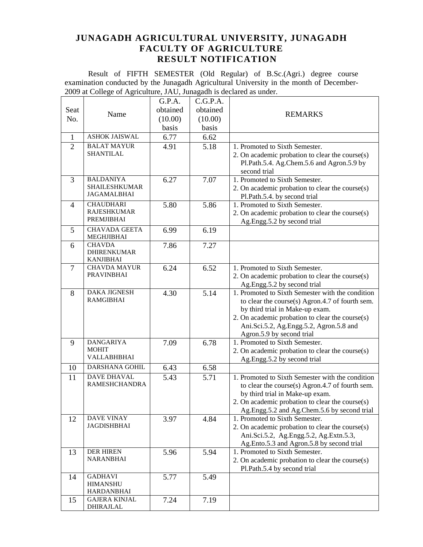Result of FIFTH SEMESTER (Old Regular) of B.Sc.(Agri.) degree course examination conducted by the Junagadh Agricultural University in the month of December-2009 at College of Agriculture, JAU, Junagadh is declared as under.

|                |                                           | G.P.A.   | C.G.P.A. |                                                                      |
|----------------|-------------------------------------------|----------|----------|----------------------------------------------------------------------|
| Seat           | Name                                      | obtained | obtained | <b>REMARKS</b>                                                       |
| No.            |                                           | (10.00)  | (10.00)  |                                                                      |
|                |                                           | basis    | basis    |                                                                      |
| $\mathbf{1}$   | <b>ASHOK JAISWAL</b>                      | 6.77     | 6.62     |                                                                      |
| $\overline{2}$ | <b>BALAT MAYUR</b>                        | 4.91     | 5.18     | 1. Promoted to Sixth Semester.                                       |
|                | <b>SHANTILAL</b>                          |          |          | 2. On academic probation to clear the course(s)                      |
|                |                                           |          |          | Pl.Path.5.4. Ag.Chem.5.6 and Agron.5.9 by                            |
|                |                                           |          |          | second trial                                                         |
| 3              | <b>BALDANIYA</b>                          | 6.27     | 7.07     | 1. Promoted to Sixth Semester.                                       |
|                | <b>SHAILESHKUMAR</b>                      |          |          | 2. On academic probation to clear the course(s)                      |
|                | JAGAMALBHAI                               |          |          | Pl.Path.5.4. by second trial                                         |
| $\overline{4}$ | <b>CHAUDHARI</b>                          | 5.80     | 5.86     | 1. Promoted to Sixth Semester.                                       |
|                | <b>RAJESHKUMAR</b><br>PREMJIBHAI          |          |          | 2. On academic probation to clear the course(s)                      |
|                |                                           |          |          | Ag.Engg.5.2 by second trial                                          |
| 5              | <b>CHAVADA GEETA</b><br><b>MEGHJIBHAI</b> | 6.99     | 6.19     |                                                                      |
| 6              | <b>CHAVDA</b>                             | 7.86     | 7.27     |                                                                      |
|                | <b>DHIRENKUMAR</b>                        |          |          |                                                                      |
|                | <b>KANJIBHAI</b>                          |          |          |                                                                      |
| $\overline{7}$ | <b>CHAVDA MAYUR</b>                       | 6.24     | 6.52     | 1. Promoted to Sixth Semester.                                       |
|                | <b>PRAVINBHAI</b>                         |          |          | 2. On academic probation to clear the course(s)                      |
|                |                                           |          |          | Ag.Engg.5.2 by second trial                                          |
| 8              | DAKA JIGNESH<br><b>RAMGIBHAI</b>          | 4.30     | 5.14     | 1. Promoted to Sixth Semester with the condition                     |
|                |                                           |          |          | to clear the course(s) Agron.4.7 of fourth sem.                      |
|                |                                           |          |          | by third trial in Make-up exam.                                      |
|                |                                           |          |          | 2. On academic probation to clear the course(s)                      |
|                |                                           |          |          | Ani.Sci.5.2, Ag.Engg.5.2, Agron.5.8 and<br>Agron.5.9 by second trial |
| 9              | <b>DANGARIYA</b>                          | 7.09     | 6.78     | 1. Promoted to Sixth Semester.                                       |
|                | <b>MOHIT</b>                              |          |          | 2. On academic probation to clear the course(s)                      |
|                | VALLABHBHAI                               |          |          | Ag.Engg.5.2 by second trial                                          |
| 10             | DARSHANA GOHIL                            | 6.43     | 6.58     |                                                                      |
| 11             | <b>DAVE DHAVAL</b>                        | 5.43     | 5.71     | 1. Promoted to Sixth Semester with the condition                     |
|                | <b>RAMESHCHANDRA</b>                      |          |          | to clear the course(s) Agron.4.7 of fourth sem.                      |
|                |                                           |          |          | by third trial in Make-up exam.                                      |
|                |                                           |          |          | 2. On academic probation to clear the course(s)                      |
|                |                                           |          |          | Ag.Engg.5.2 and Ag.Chem.5.6 by second trial                          |
| 12             | <b>DAVE VINAY</b>                         | 3.97     | 4.84     | 1. Promoted to Sixth Semester.                                       |
|                | <b>JAGDISHBHAI</b>                        |          |          | 2. On academic probation to clear the course(s)                      |
|                |                                           |          |          | Ani.Sci.5.2, Ag.Engg.5.2, Ag.Extn.5.3,                               |
|                |                                           |          |          | Ag.Ento.5.3 and Agron.5.8 by second trial                            |
| 13             | <b>DER HIREN</b><br><b>NARANBHAI</b>      | 5.96     | 5.94     | 1. Promoted to Sixth Semester.                                       |
|                |                                           |          |          | 2. On academic probation to clear the course(s)                      |
|                | <b>GADHAVI</b>                            |          |          | Pl.Path.5.4 by second trial                                          |
| 14             | <b>HIMANSHU</b>                           | 5.77     | 5.49     |                                                                      |
|                | <b>HARDANBHAI</b>                         |          |          |                                                                      |
| 15             | <b>GAJERA KINJAL</b>                      | 7.24     | 7.19     |                                                                      |
|                | <b>DHIRAJLAL</b>                          |          |          |                                                                      |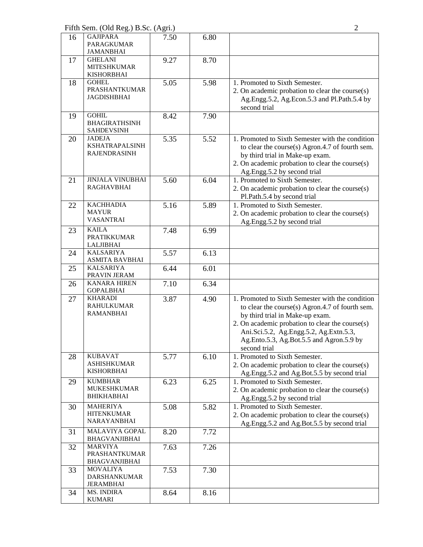Fifth Sem. (Old Reg.) B.Sc. (Agri.) 2

| 16 | <b>GAJIPARA</b><br><b>PARAGKUMAR</b><br><b>JAMANBHAI</b>      | 7.50 | 6.80 |                                                                                                                                                                                                                                                                                                 |
|----|---------------------------------------------------------------|------|------|-------------------------------------------------------------------------------------------------------------------------------------------------------------------------------------------------------------------------------------------------------------------------------------------------|
| 17 | <b>GHELANI</b><br><b>MITESHKUMAR</b><br><b>KISHORBHAI</b>     | 9.27 | 8.70 |                                                                                                                                                                                                                                                                                                 |
| 18 | <b>GOHEL</b><br><b>PRASHANTKUMAR</b><br><b>JAGDISHBHAI</b>    | 5.05 | 5.98 | 1. Promoted to Sixth Semester.<br>2. On academic probation to clear the course(s)<br>Ag.Engg.5.2, Ag.Econ.5.3 and Pl.Path.5.4 by<br>second trial                                                                                                                                                |
| 19 | <b>GOHIL</b><br><b>BHAGIRATHSINH</b><br><b>SAHDEVSINH</b>     | 8.42 | 7.90 |                                                                                                                                                                                                                                                                                                 |
| 20 | <b>JADEJA</b><br><b>KSHATRAPALSINH</b><br><b>RAJENDRASINH</b> | 5.35 | 5.52 | 1. Promoted to Sixth Semester with the condition<br>to clear the course(s) Agron.4.7 of fourth sem.<br>by third trial in Make-up exam.<br>2. On academic probation to clear the course(s)<br>Ag.Engg.5.2 by second trial                                                                        |
| 21 | <b>JINJALA VINUBHAI</b><br><b>RAGHAVBHAI</b>                  | 5.60 | 6.04 | 1. Promoted to Sixth Semester.<br>2. On academic probation to clear the course(s)<br>Pl.Path.5.4 by second trial                                                                                                                                                                                |
| 22 | <b>KACHHADIA</b><br><b>MAYUR</b><br><b>VASANTRAI</b>          | 5.16 | 5.89 | 1. Promoted to Sixth Semester.<br>2. On academic probation to clear the course(s)<br>Ag.Engg.5.2 by second trial                                                                                                                                                                                |
| 23 | <b>KAILA</b><br><b>PRATIKKUMAR</b><br><b>LALJIBHAI</b>        | 7.48 | 6.99 |                                                                                                                                                                                                                                                                                                 |
| 24 | <b>KALSARIYA</b><br>ASMITA BAVBHAI                            | 5.57 | 6.13 |                                                                                                                                                                                                                                                                                                 |
| 25 | <b>KALSARIYA</b><br>PRAVIN JERAM                              | 6.44 | 6.01 |                                                                                                                                                                                                                                                                                                 |
| 26 | <b>KANARA HIREN</b><br><b>GOPALBHAI</b>                       | 7.10 | 6.34 |                                                                                                                                                                                                                                                                                                 |
| 27 | <b>KHARADI</b><br><b>RAHULKUMAR</b><br><b>RAMANBHAI</b>       | 3.87 | 4.90 | 1. Promoted to Sixth Semester with the condition<br>to clear the course(s) Agron.4.7 of fourth sem.<br>by third trial in Make-up exam.<br>2. On academic probation to clear the course(s)<br>Ani.Sci.5.2, Ag.Engg.5.2, Ag.Extn.5.3,<br>Ag.Ento.5.3, Ag.Bot.5.5 and Agron.5.9 by<br>second trial |
| 28 | <b>KUBAVAT</b><br><b>ASHISHKUMAR</b><br><b>KISHORBHAI</b>     | 5.77 | 6.10 | 1. Promoted to Sixth Semester.<br>2. On academic probation to clear the course(s)<br>Ag.Engg.5.2 and Ag.Bot.5.5 by second trial                                                                                                                                                                 |
| 29 | <b>KUMBHAR</b><br><b>MUKESHKUMAR</b><br><b>BHIKHABHAI</b>     | 6.23 | 6.25 | 1. Promoted to Sixth Semester.<br>2. On academic probation to clear the course(s)<br>Ag.Engg.5.2 by second trial                                                                                                                                                                                |
| 30 | <b>MAHERIYA</b><br><b>HITENKUMAR</b><br>NARAYANBHAI           | 5.08 | 5.82 | 1. Promoted to Sixth Semester.<br>2. On academic probation to clear the course(s)<br>Ag.Engg.5.2 and Ag.Bot.5.5 by second trial                                                                                                                                                                 |
| 31 | <b>MALAVIYA GOPAL</b><br><b>BHAGVANJIBHAI</b>                 | 8.20 | 7.72 |                                                                                                                                                                                                                                                                                                 |
| 32 | <b>MARVIYA</b><br><b>PRASHANTKUMAR</b><br>BHAGVANJIBHAI       | 7.63 | 7.26 |                                                                                                                                                                                                                                                                                                 |
| 33 | <b>MOVALIYA</b><br><b>DARSHANKUMAR</b><br><b>JERAMBHAI</b>    | 7.53 | 7.30 |                                                                                                                                                                                                                                                                                                 |
| 34 | MS. INDIRA<br><b>KUMARI</b>                                   | 8.64 | 8.16 |                                                                                                                                                                                                                                                                                                 |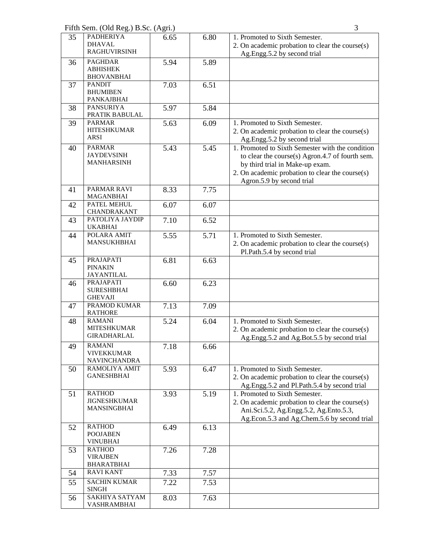Fifth Sem. (Old Reg.) B.Sc. (Agri.) 3

| 35 | <b>PADHERIYA</b>                    | 6.65 | 6.80 | 1. Promoted to Sixth Semester.                   |
|----|-------------------------------------|------|------|--------------------------------------------------|
|    | <b>DHAVAL</b>                       |      |      | 2. On academic probation to clear the course(s)  |
|    | <b>RAGHUVIRSINH</b>                 |      |      | Ag.Engg.5.2 by second trial                      |
| 36 | <b>PAGHDAR</b>                      | 5.94 | 5.89 |                                                  |
|    | <b>ABHISHEK</b>                     |      |      |                                                  |
|    | <b>BHOVANBHAI</b>                   |      |      |                                                  |
| 37 | <b>PANDIT</b>                       | 7.03 | 6.51 |                                                  |
|    | <b>BHUMIBEN</b>                     |      |      |                                                  |
|    | PANKAJBHAI                          |      |      |                                                  |
| 38 | <b>PANSURIYA</b>                    | 5.97 | 5.84 |                                                  |
|    | PRATIK BABULAL                      |      |      |                                                  |
| 39 | <b>PARMAR</b>                       | 5.63 | 6.09 | 1. Promoted to Sixth Semester.                   |
|    | <b>HITESHKUMAR</b>                  |      |      | 2. On academic probation to clear the course(s)  |
|    | <b>ARSI</b>                         |      |      | Ag.Engg.5.2 by second trial                      |
| 40 | <b>PARMAR</b>                       | 5.43 | 5.45 | 1. Promoted to Sixth Semester with the condition |
|    | <b>JAYDEVSINH</b>                   |      |      | to clear the course(s) Agron.4.7 of fourth sem.  |
|    | <b>MANHARSINH</b>                   |      |      | by third trial in Make-up exam.                  |
|    |                                     |      |      | 2. On academic probation to clear the course(s)  |
|    |                                     |      |      |                                                  |
|    | PARMAR RAVI                         | 8.33 | 7.75 | Agron.5.9 by second trial                        |
| 41 | <b>MAGANBHAI</b>                    |      |      |                                                  |
| 42 | <b>PATEL MEHUL</b>                  | 6.07 | 6.07 |                                                  |
|    | CHANDRAKANT                         |      |      |                                                  |
| 43 | PATOLIYA JAYDIP                     | 7.10 | 6.52 |                                                  |
|    | <b>UKABHAI</b>                      |      |      |                                                  |
| 44 | POLARA AMIT                         | 5.55 | 5.71 | 1. Promoted to Sixth Semester.                   |
|    | <b>MANSUKHBHAI</b>                  |      |      | 2. On academic probation to clear the course(s)  |
|    |                                     |      |      |                                                  |
|    |                                     |      |      | Pl.Path.5.4 by second trial                      |
| 45 | <b>PRAJAPATI</b>                    | 6.81 | 6.63 |                                                  |
|    | <b>PINAKIN</b><br><b>JAYANTILAL</b> |      |      |                                                  |
|    | PRAJAPATI                           | 6.60 | 6.23 |                                                  |
| 46 | <b>SURESHBHAI</b>                   |      |      |                                                  |
|    | <b>GHEVAJI</b>                      |      |      |                                                  |
| 47 | PRAMOD KUMAR                        | 7.13 | 7.09 |                                                  |
|    | <b>RATHORE</b>                      |      |      |                                                  |
| 48 | <b>RAMANI</b>                       | 5.24 | 6.04 | 1. Promoted to Sixth Semester.                   |
|    | <b>MITESHKUMAR</b>                  |      |      | 2. On academic probation to clear the course(s)  |
|    | <b>GIRADHARLAL</b>                  |      |      | Ag.Engg.5.2 and Ag.Bot.5.5 by second trial       |
|    | <b>RAMANI</b>                       |      |      |                                                  |
| 49 | <b>VIVEKKUMAR</b>                   | 7.18 | 6.66 |                                                  |
|    | NAVINCHANDRA                        |      |      |                                                  |
| 50 | RAMOLIYA AMIT                       | 5.93 | 6.47 | 1. Promoted to Sixth Semester.                   |
|    | <b>GANESHBHAI</b>                   |      |      | 2. On academic probation to clear the course(s)  |
|    |                                     |      |      | Ag.Engg.5.2 and Pl.Path.5.4 by second trial      |
|    | <b>RATHOD</b>                       |      |      |                                                  |
| 51 | <b>JIGNESHKUMAR</b>                 | 3.93 | 5.19 | 1. Promoted to Sixth Semester.                   |
|    | MANSINGBHAI                         |      |      | 2. On academic probation to clear the course(s)  |
|    |                                     |      |      | Ani.Sci.5.2, Ag.Engg.5.2, Ag.Ento.5.3,           |
|    |                                     |      |      | Ag.Econ.5.3 and Ag.Chem.5.6 by second trial      |
| 52 | <b>RATHOD</b>                       | 6.49 | 6.13 |                                                  |
|    | <b>POOJABEN</b>                     |      |      |                                                  |
|    | <b>VINUBHAI</b>                     |      |      |                                                  |
| 53 | <b>RATHOD</b>                       | 7.26 | 7.28 |                                                  |
|    | <b>VIRAJBEN</b>                     |      |      |                                                  |
|    | <b>BHARATBHAI</b>                   |      |      |                                                  |
| 54 | <b>RAVI KANT</b>                    | 7.33 | 7.57 |                                                  |
| 55 | <b>SACHIN KUMAR</b>                 | 7.22 | 7.53 |                                                  |
|    | <b>SINGH</b>                        |      |      |                                                  |
| 56 | SAKHIYA SATYAM                      | 8.03 | 7.63 |                                                  |
|    | VASHRAMBHAI                         |      |      |                                                  |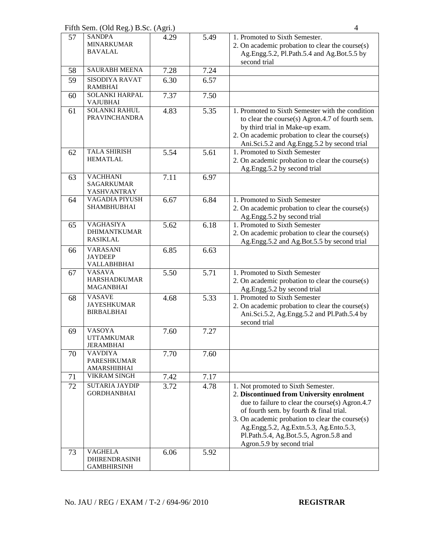Fifth Sem. (Old Reg.) B.Sc. (Agri.) 4

|    | $50.001$ (signal)                                            |      |      |                                                                                                                                                                                                                                                                                                                                                   |
|----|--------------------------------------------------------------|------|------|---------------------------------------------------------------------------------------------------------------------------------------------------------------------------------------------------------------------------------------------------------------------------------------------------------------------------------------------------|
| 57 | <b>SANDPA</b><br><b>MINARKUMAR</b><br><b>BAVALAL</b>         | 4.29 | 5.49 | 1. Promoted to Sixth Semester.<br>2. On academic probation to clear the course(s)<br>Ag.Engg.5.2, Pl.Path.5.4 and Ag.Bot.5.5 by<br>second trial                                                                                                                                                                                                   |
| 58 | <b>SAURABH MEENA</b>                                         | 7.28 | 7.24 |                                                                                                                                                                                                                                                                                                                                                   |
| 59 | <b>SISODIYA RAVAT</b><br><b>RAMBHAI</b>                      | 6.30 | 6.57 |                                                                                                                                                                                                                                                                                                                                                   |
| 60 | <b>SOLANKI HARPAL</b><br><b>VAJUBHAI</b>                     | 7.37 | 7.50 |                                                                                                                                                                                                                                                                                                                                                   |
| 61 | <b>SOLANKI RAHUL</b><br><b>PRAVINCHANDRA</b>                 | 4.83 | 5.35 | 1. Promoted to Sixth Semester with the condition<br>to clear the course(s) Agron.4.7 of fourth sem.<br>by third trial in Make-up exam.<br>2. On academic probation to clear the course(s)<br>Ani.Sci.5.2 and Ag.Engg.5.2 by second trial                                                                                                          |
| 62 | <b>TALA SHIRISH</b><br><b>HEMATLAL</b>                       | 5.54 | 5.61 | 1. Promoted to Sixth Semester<br>2. On academic probation to clear the course(s)<br>Ag.Engg.5.2 by second trial                                                                                                                                                                                                                                   |
| 63 | <b>VACHHANI</b><br><b>SAGARKUMAR</b><br>YASHVANTRAY          | 7.11 | 6.97 |                                                                                                                                                                                                                                                                                                                                                   |
| 64 | <b>VAGADIA PIYUSH</b><br><b>SHAMBHUBHAI</b>                  | 6.67 | 6.84 | 1. Promoted to Sixth Semester<br>2. On academic probation to clear the course(s)<br>Ag.Engg.5.2 by second trial                                                                                                                                                                                                                                   |
| 65 | <b>VAGHASIYA</b><br><b>DHIMANTKUMAR</b><br><b>RASIKLAL</b>   | 5.62 | 6.18 | 1. Promoted to Sixth Semester<br>2. On academic probation to clear the course(s)<br>Ag.Engg.5.2 and Ag.Bot.5.5 by second trial                                                                                                                                                                                                                    |
| 66 | <b>VARASANI</b><br><b>JAYDEEP</b><br>VALLABHBHAI             | 6.85 | 6.63 |                                                                                                                                                                                                                                                                                                                                                   |
| 67 | <b>VASAVA</b><br><b>HARSHADKUMAR</b><br><b>MAGANBHAI</b>     | 5.50 | 5.71 | 1. Promoted to Sixth Semester<br>2. On academic probation to clear the course(s)<br>Ag.Engg.5.2 by second trial                                                                                                                                                                                                                                   |
| 68 | <b>VASAVE</b><br><b>JAYESHKUMAR</b><br><b>BIRBALBHAI</b>     | 4.68 | 5.33 | 1. Promoted to Sixth Semester<br>2. On academic probation to clear the course(s)<br>Ani.Sci.5.2, Ag.Engg.5.2 and Pl.Path.5.4 by<br>second trial                                                                                                                                                                                                   |
| 69 | <b>VASOYA</b><br><b>UTTAMKUMAR</b><br><b>JERAMBHAI</b>       | 7.60 | 7.27 |                                                                                                                                                                                                                                                                                                                                                   |
| 70 | <b>VAVDIYA</b><br><b>PARESHKUMAR</b><br>AMARSHIBHAI          | 7.70 | 7.60 |                                                                                                                                                                                                                                                                                                                                                   |
| 71 | <b>VIKRAM SINGH</b>                                          | 7.42 | 7.17 |                                                                                                                                                                                                                                                                                                                                                   |
| 72 | <b>SUTARIA JAYDIP</b><br><b>GORDHANBHAI</b>                  | 3.72 | 4.78 | 1. Not promoted to Sixth Semester.<br>2. Discontinued from University enrolment<br>due to failure to clear the course(s) Agron.4.7<br>of fourth sem. by fourth & final trial.<br>3. On academic probation to clear the course(s)<br>Ag.Engg.5.2, Ag.Extn.5.3, Ag.Ento.5.3,<br>Pl.Path.5.4, Ag.Bot.5.5, Agron.5.8 and<br>Agron.5.9 by second trial |
| 73 | <b>VAGHELA</b><br><b>DHIRENDRASINH</b><br><b>GAMBHIRSINH</b> | 6.06 | 5.92 |                                                                                                                                                                                                                                                                                                                                                   |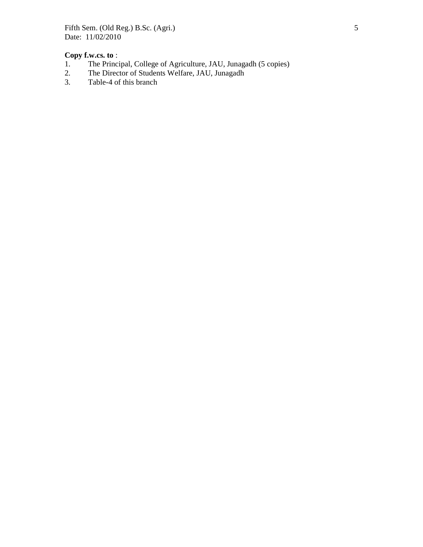Fifth Sem. (Old Reg.) B.Sc. (Agri.) 5 Date: 11/02/2010

# **Copy f.w.cs. to** :<br>1. The Princi

- 1. The Principal, College of Agriculture, JAU, Junagadh (5 copies)<br>2. The Director of Students Welfare, JAU, Junagadh
- 2. The Director of Students Welfare, JAU, Junagadh<br>
3. Table-4 of this branch
- Table-4 of this branch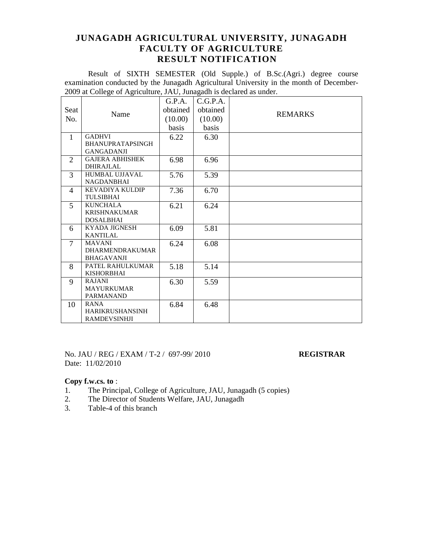Result of SIXTH SEMESTER (Old Supple.) of B.Sc.(Agri.) degree course examination conducted by the Junagadh Agricultural University in the month of December-2009 at College of Agriculture, JAU, Junagadh is declared as under.

|                |                         | G.P.A.   | C.G.P.A. |                |
|----------------|-------------------------|----------|----------|----------------|
| Seat           |                         | obtained | obtained |                |
| No.            | Name                    | (10.00)  | (10.00)  | <b>REMARKS</b> |
|                |                         | basis    | basis    |                |
| $\mathbf{1}$   | <b>GADHVI</b>           | 6.22     | 6.30     |                |
|                | <b>BHANUPRATAPSINGH</b> |          |          |                |
|                | <b>GANGADANJI</b>       |          |          |                |
| $\overline{2}$ | <b>GAJERA ABHISHEK</b>  | 6.98     | 6.96     |                |
|                | <b>DHIRAJLAL</b>        |          |          |                |
| 3              | <b>HUMBAL UJJAVAL</b>   | 5.76     | 5.39     |                |
|                | <b>NAGDANBHAI</b>       |          |          |                |
| $\overline{4}$ | <b>KEVADIYA KULDIP</b>  | 7.36     | 6.70     |                |
|                | <b>TULSIBHAI</b>        |          |          |                |
| 5              | <b>KUNCHALA</b>         | 6.21     | 6.24     |                |
|                | <b>KRISHNAKUMAR</b>     |          |          |                |
|                | <b>DOSALBHAI</b>        |          |          |                |
| 6              | <b>KYADA JIGNESH</b>    | 6.09     | 5.81     |                |
|                | <b>KANTILAL</b>         |          |          |                |
| $\tau$         | <b>MAVANI</b>           | 6.24     | 6.08     |                |
|                | <b>DHARMENDRAKUMAR</b>  |          |          |                |
|                | <b>BHAGAVANJI</b>       |          |          |                |
| 8              | PATEL RAHULKUMAR        | 5.18     | 5.14     |                |
|                | <b>KISHORBHAI</b>       |          |          |                |
| 9              | <b>RAJANI</b>           | 6.30     | 5.59     |                |
|                | <b>MAYURKUMAR</b>       |          |          |                |
|                | <b>PARMANAND</b>        |          |          |                |
| 10             | <b>RANA</b>             | 6.84     | 6.48     |                |
|                | <b>HARIKRUSHANSINH</b>  |          |          |                |
|                | <b>RAMDEVSINHJI</b>     |          |          |                |

No. JAU / REG / EXAM / T-2 / 697-99/ 2010 **REGISTRAR** Date: 11/02/2010

- 1. The Principal, College of Agriculture, JAU, Junagadh (5 copies)
- 2. The Director of Students Welfare, JAU, Junagadh<br>3. Table-4 of this branch
- Table-4 of this branch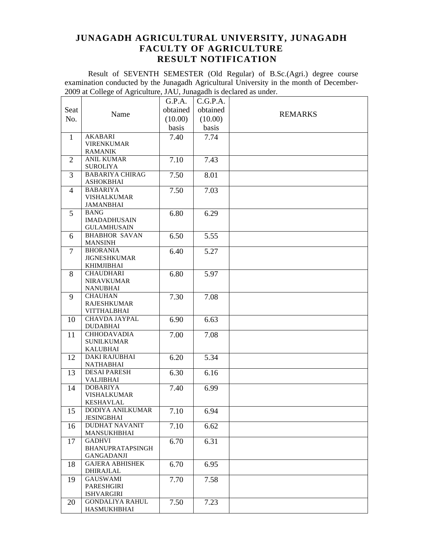Result of SEVENTH SEMESTER (Old Regular) of B.Sc.(Agri.) degree course examination conducted by the Junagadh Agricultural University in the month of December-2009 at College of Agriculture, JAU, Junagadh is declared as under.

|                |                                  | G.P.A.   | C.G.P.A. |                |
|----------------|----------------------------------|----------|----------|----------------|
| Seat           |                                  | obtained | obtained |                |
| No.            | Name                             | (10.00)  | (10.00)  | <b>REMARKS</b> |
|                |                                  | basis    | basis    |                |
|                |                                  |          |          |                |
| 1              | <b>AKABARI</b>                   | 7.40     | 7.74     |                |
|                | <b>VIRENKUMAR</b>                |          |          |                |
|                | <b>RAMANIK</b>                   |          |          |                |
| 2              | <b>ANIL KUMAR</b>                | 7.10     | 7.43     |                |
|                | <b>SUROLIYA</b>                  |          |          |                |
| 3              | <b>BABARIYA CHIRAG</b>           | 7.50     | 8.01     |                |
|                | <b>ASHOKBHAI</b>                 |          |          |                |
| $\overline{4}$ | <b>BABARIYA</b>                  | 7.50     | 7.03     |                |
|                | <b>VISHALKUMAR</b>               |          |          |                |
|                | JAMANBHAI                        |          |          |                |
| 5              | <b>BANG</b>                      | 6.80     | 6.29     |                |
|                | <b>IMADADHUSAIN</b>              |          |          |                |
|                | <b>GULAMHUSAIN</b>               |          |          |                |
| 6              | <b>BHABHOR SAVAN</b>             | 6.50     | 5.55     |                |
|                | <b>MANSINH</b>                   |          |          |                |
| 7              | <b>BHORANIA</b>                  | 6.40     | 5.27     |                |
|                | <b>JIGNESHKUMAR</b>              |          |          |                |
|                | <b>KHIMJIBHAI</b>                |          |          |                |
| 8              | <b>CHAUDHARI</b>                 | 6.80     | 5.97     |                |
|                | <b>NIRAVKUMAR</b>                |          |          |                |
|                | <b>NANUBHAI</b>                  |          |          |                |
| 9              | <b>CHAUHAN</b>                   | 7.30     | 7.08     |                |
|                | <b>RAJESHKUMAR</b>               |          |          |                |
|                | <b>VITTHALBHAI</b>               |          |          |                |
| 10             | CHAVDA JAYPAL<br><b>DUDABHAI</b> | 6.90     | 6.63     |                |
|                | <b>CHHODAVADIA</b>               | 7.00     |          |                |
| 11             | <b>SUNILKUMAR</b>                |          | 7.08     |                |
|                | <b>KALUBHAI</b>                  |          |          |                |
| 12             | <b>DAKI RAJUBHAI</b>             | 6.20     | 5.34     |                |
|                | <b>NATHABHAI</b>                 |          |          |                |
| 13             | <b>DESAI PARESH</b>              | 6.30     | 6.16     |                |
|                | <b>VALJIBHAI</b>                 |          |          |                |
| 14             | <b>DOBARIYA</b>                  | 7.40     | 6.99     |                |
|                | <b>VISHALKUMAR</b>               |          |          |                |
|                | <b>KESHAVLAL</b>                 |          |          |                |
| 15             | DODIYA ANILKUMAR                 | 7.10     | 6.94     |                |
|                | <b>JESINGBHAI</b>                |          |          |                |
| 16             | <b>DUDHAT NAVANIT</b>            | 7.10     | 6.62     |                |
|                | MANSUKHBHAI                      |          |          |                |
| 17             | <b>GADHVI</b>                    | 6.70     | 6.31     |                |
|                | BHANUPRATAPSINGH                 |          |          |                |
|                | GANGADANJI                       |          |          |                |
| 18             | <b>GAJERA ABHISHEK</b>           | 6.70     | 6.95     |                |
|                | DHIRAJLAL                        |          |          |                |
| 19             | <b>GAUSWAMI</b>                  | 7.70     | 7.58     |                |
|                | PARESHGIRI                       |          |          |                |
|                | <b>ISHVARGIRI</b>                |          |          |                |
| 20             | <b>GONDALIYA RAHUL</b>           | 7.50     | 7.23     |                |
|                | HASMUKHBHAI                      |          |          |                |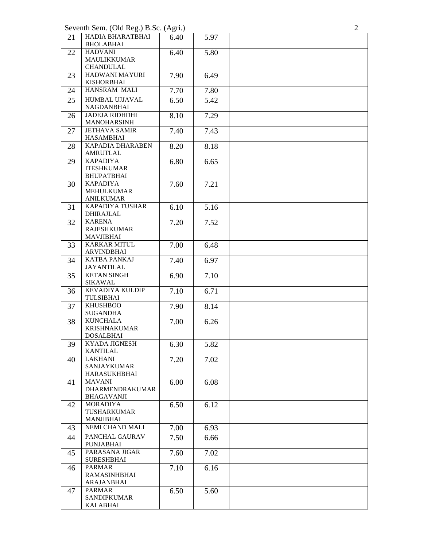Seventh Sem. (Old Reg.) B.Sc. (Agri.)

| 21 | HADIA BHARATBHAI<br><b>BHOLABHAI</b>        | 6.40 | 5.97 |  |
|----|---------------------------------------------|------|------|--|
| 22 | <b>HADVANI</b>                              | 6.40 | 5.80 |  |
|    | <b>MAULIKKUMAR</b>                          |      |      |  |
|    | <b>CHANDULAL</b>                            |      |      |  |
| 23 | HADWANI MAYURI                              | 7.90 | 6.49 |  |
|    | <b>KISHORBHAI</b>                           |      |      |  |
| 24 | HANSRAM MALI                                | 7.70 | 7.80 |  |
| 25 | <b>HUMBAL UJJAVAL</b><br>NAGDANBHAI         | 6.50 | 5.42 |  |
| 26 | <b>JADEJA RIDHDHI</b><br><b>MANOHARSINH</b> | 8.10 | 7.29 |  |
| 27 | <b>JETHAVA SAMIR</b><br><b>HASAMBHAI</b>    | 7.40 | 7.43 |  |
| 28 | KAPADIA DHARABEN<br>AMRUTLAL                | 8.20 | 8.18 |  |
| 29 | <b>KAPADIYA</b>                             | 6.80 | 6.65 |  |
|    | <b>ITESHKUMAR</b><br><b>BHUPATBHAI</b>      |      |      |  |
| 30 | <b>KAPADIYA</b><br><b>MEHULKUMAR</b>        | 7.60 | 7.21 |  |
|    | <b>ANILKUMAR</b>                            |      |      |  |
| 31 | KAPADIYA TUSHAR<br><b>DHIRAJLAL</b>         | 6.10 | 5.16 |  |
| 32 | <b>KARENA</b>                               | 7.20 | 7.52 |  |
|    | <b>RAJESHKUMAR</b>                          |      |      |  |
| 33 | <b>MAVJIBHAI</b><br><b>KARKAR MITUL</b>     | 7.00 | 6.48 |  |
|    | <b>ARVINDBHAI</b>                           |      |      |  |
| 34 | <b>KATBA PANKAJ</b><br><b>JAYANTILAL</b>    | 7.40 | 6.97 |  |
| 35 | <b>KETAN SINGH</b>                          | 6.90 | 7.10 |  |
| 36 | <b>SIKAWAL</b><br><b>KEVADIYA KULDIP</b>    | 7.10 | 6.71 |  |
|    | TULSIBHAI                                   |      |      |  |
| 37 | <b>KHUSHBOO</b>                             | 7.90 | 8.14 |  |
|    | <b>SUGANDHA</b>                             |      |      |  |
| 38 | <b>KUNCHALA</b><br><b>KRISHNAKUMAR</b>      | 7.00 | 6.26 |  |
|    | <b>DOSALBHAI</b>                            |      |      |  |
| 39 | KYADA JIGNESH                               | 6.30 | 5.82 |  |
|    | KANTILAL                                    |      |      |  |
| 40 | <b>LAKHANI</b>                              | 7.20 | 7.02 |  |
|    | <b>SANJAYKUMAR</b>                          |      |      |  |
| 41 | <b>HARASUKHBHAI</b><br><b>MAVANI</b>        | 6.00 | 6.08 |  |
|    | <b>DHARMENDRAKUMAR</b>                      |      |      |  |
|    | <b>BHAGAVANJI</b>                           |      |      |  |
| 42 | <b>MORADIYA</b>                             | 6.50 | 6.12 |  |
|    | TUSHARKUMAR                                 |      |      |  |
|    | <b>MANJIBHAI</b>                            |      |      |  |
| 43 | NEMI CHAND MALI                             | 7.00 | 6.93 |  |
| 44 | PANCHAL GAURAV<br><b>PUNJABHAI</b>          | 7.50 | 6.66 |  |
| 45 | PARASANA JIGAR<br><b>SURESHBHAI</b>         | 7.60 | 7.02 |  |
| 46 | <b>PARMAR</b>                               | 7.10 | 6.16 |  |
|    | <b>RAMASINHBHAI</b>                         |      |      |  |
| 47 | <b>ARAJANBHAI</b><br><b>PARMAR</b>          | 6.50 | 5.60 |  |
|    | <b>SANDIPKUMAR</b>                          |      |      |  |
|    | KALABHAI                                    |      |      |  |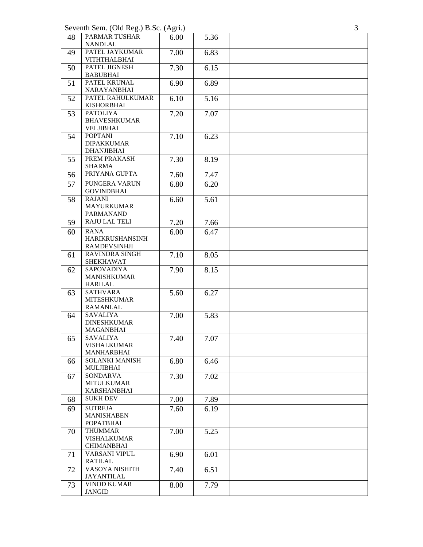Seventh Sem. (Old Reg.) B.Sc. (Agri.)

| 48 | PARMAR TUSHAR<br><b>NANDLAL</b>         | 6.00 | 5.36 |  |
|----|-----------------------------------------|------|------|--|
| 49 | PATEL JAYKUMAR                          | 7.00 | 6.83 |  |
|    | <b>VITHTHALBHAI</b>                     |      |      |  |
| 50 | PATEL JIGNESH<br><b>BABUBHAI</b>        | 7.30 | 6.15 |  |
| 51 | PATEL KRUNAL<br>NARAYANBHAI             | 6.90 | 6.89 |  |
| 52 | PATEL RAHULKUMAR                        | 6.10 | 5.16 |  |
|    | <b>KISHORBHAI</b><br><b>PATOLIYA</b>    |      |      |  |
| 53 | <b>BHAVESHKUMAR</b><br><b>VELJIBHAI</b> | 7.20 | 7.07 |  |
| 54 | <b>POPTANI</b>                          | 7.10 | 6.23 |  |
|    | <b>DIPAKKUMAR</b><br><b>DHANJIBHAI</b>  |      |      |  |
| 55 | PREM PRAKASH<br><b>SHARMA</b>           | 7.30 | 8.19 |  |
| 56 | PRIYANA GUPTA                           | 7.60 | 7.47 |  |
| 57 | PUNGERA VARUN                           | 6.80 | 6.20 |  |
|    | <b>GOVINDBHAI</b>                       |      |      |  |
| 58 | <b>RAJANI</b><br><b>MAYURKUMAR</b>      | 6.60 | 5.61 |  |
|    | PARMANAND                               |      |      |  |
| 59 | <b>RAJU LAL TELI</b>                    | 7.20 | 7.66 |  |
| 60 | <b>RANA</b>                             | 6.00 | 6.47 |  |
|    | HARIKRUSHANSINH<br><b>RAMDEVSINHJI</b>  |      |      |  |
| 61 | <b>RAVINDRA SINGH</b>                   | 7.10 | 8.05 |  |
|    | SHEKHAWAT                               |      |      |  |
| 62 | <b>SAPOVADIYA</b>                       | 7.90 | 8.15 |  |
|    | <b>MANISHKUMAR</b><br><b>HARILAL</b>    |      |      |  |
| 63 | <b>SATHVARA</b>                         | 5.60 | 6.27 |  |
|    | <b>MITESHKUMAR</b>                      |      |      |  |
|    | <b>RAMANLAL</b>                         |      |      |  |
| 64 | <b>SAVALIYA</b>                         | 7.00 | 5.83 |  |
|    | <b>DINESHKUMAR</b><br><b>MAGANBHAI</b>  |      |      |  |
| 65 | <b>SAVALIYA</b>                         | 7.40 | 7.07 |  |
|    | VISHALKUMAR                             |      |      |  |
|    | <b>MANHARBHAI</b>                       |      |      |  |
| 66 | <b>SOLANKI MANISH</b>                   | 6.80 | 6.46 |  |
|    | MULJIBHAI                               |      |      |  |
| 67 | <b>SONDARVA</b><br><b>MITULKUMAR</b>    | 7.30 | 7.02 |  |
|    | <b>KARSHANBHAI</b>                      |      |      |  |
| 68 | <b>SUKH DEV</b>                         | 7.00 | 7.89 |  |
| 69 | <b>SUTREJA</b>                          | 7.60 | 6.19 |  |
|    | <b>MANISHABEN</b>                       |      |      |  |
|    | <b>POPATBHAI</b>                        |      |      |  |
| 70 | <b>THUMMAR</b>                          | 7.00 | 5.25 |  |
|    | <b>VISHALKUMAR</b><br><b>CHIMANBHAI</b> |      |      |  |
| 71 | VARSANI VIPUL                           | 6.90 | 6.01 |  |
|    | RATILAL                                 |      |      |  |
| 72 | VASOYA NISHITH                          | 7.40 | 6.51 |  |
|    | JAYANTILAL<br><b>VINOD KUMAR</b>        |      |      |  |
| 73 | <b>JANGID</b>                           | 8.00 | 7.79 |  |

3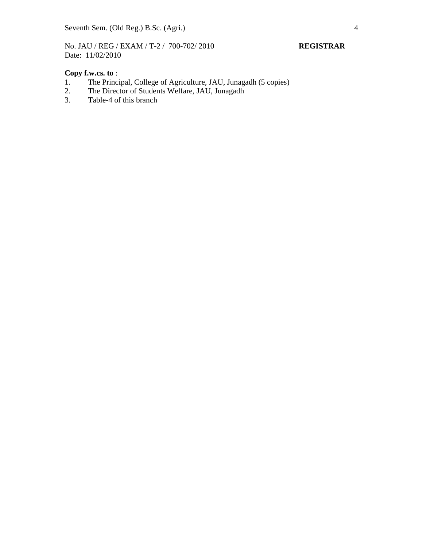No. JAU / REG / EXAM / T-2 / 700-702/ 2010 **REGISTRAR** Date: 11/02/2010

# **Copy f.w.cs. to** :<br>1. The Princi

- 1. The Principal, College of Agriculture, JAU, Junagadh (5 copies)<br>2. The Director of Students Welfare, JAU, Junagadh
- 2. The Director of Students Welfare, JAU, Junagadh<br>3. Table-4 of this branch
- Table-4 of this branch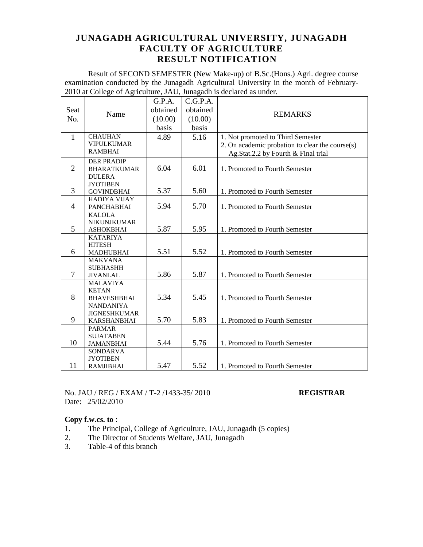Result of SECOND SEMESTER (New Make-up) of B.Sc.(Hons.) Agri. degree course examination conducted by the Junagadh Agricultural University in the month of February-2010 at College of Agriculture, JAU, Junagadh is declared as under.

|     |                |                                          | G.P.A.   | C.G.P.A. |                                                 |
|-----|----------------|------------------------------------------|----------|----------|-------------------------------------------------|
|     | Seat           |                                          | obtained | obtained |                                                 |
| No. |                | Name                                     | (10.00)  | (10.00)  | <b>REMARKS</b>                                  |
|     |                |                                          | basis    | basis    |                                                 |
|     | $\mathbf{1}$   | <b>CHAUHAN</b><br>5.16<br>4.89           |          |          | 1. Not promoted to Third Semester               |
|     |                | <b>VIPULKUMAR</b>                        |          |          | 2. On academic probation to clear the course(s) |
|     |                | <b>RAMBHAI</b>                           |          |          | Ag.Stat.2.2 by Fourth & Final trial             |
|     |                | <b>DER PRADIP</b>                        |          |          |                                                 |
|     | $\overline{2}$ | <b>BHARATKUMAR</b>                       | 6.04     | 6.01     | 1. Promoted to Fourth Semester                  |
|     |                | <b>DULERA</b>                            |          |          |                                                 |
|     | 3              | <b>JYOTIBEN</b>                          | 5.37     | 5.60     |                                                 |
|     |                | <b>GOVINDBHAI</b><br><b>HADIYA VIJAY</b> |          |          | 1. Promoted to Fourth Semester                  |
|     | 4              | <b>PANCHABHAI</b>                        | 5.94     | 5.70     | 1. Promoted to Fourth Semester                  |
|     |                | <b>KALOLA</b>                            |          |          |                                                 |
|     |                | <b>NIKUNJKUMAR</b>                       |          |          |                                                 |
| 5   |                | <b>ASHOKBHAI</b>                         | 5.87     | 5.95     | 1. Promoted to Fourth Semester                  |
|     |                | <b>KATARIYA</b>                          |          |          |                                                 |
|     |                | <b>HITESH</b>                            |          |          |                                                 |
|     | 6              | <b>MADHUBHAI</b>                         | 5.51     | 5.52     | 1. Promoted to Fourth Semester                  |
|     |                | <b>MAKVANA</b>                           |          |          |                                                 |
|     | $\overline{7}$ | <b>SUBHASHH</b><br><b>JIVANLAL</b>       | 5.86     | 5.87     | 1. Promoted to Fourth Semester                  |
|     |                | <b>MALAVIYA</b>                          |          |          |                                                 |
|     |                | <b>KETAN</b>                             |          |          |                                                 |
|     | 8              | <b>BHAVESHBHAI</b>                       | 5.34     | 5.45     | 1. Promoted to Fourth Semester                  |
|     |                | <b>NANDANIYA</b>                         |          |          |                                                 |
|     |                | <b>JIGNESHKUMAR</b>                      |          |          |                                                 |
|     | 9              | <b>KARSHANBHAI</b>                       | 5.70     | 5.83     | 1. Promoted to Fourth Semester                  |
|     |                | <b>PARMAR</b>                            |          |          |                                                 |
|     |                | <b>SUJATABEN</b>                         |          |          |                                                 |
|     | 10             | <b>JAMANBHAI</b>                         | 5.44     | 5.76     | 1. Promoted to Fourth Semester                  |
|     |                | <b>SONDARVA</b>                          |          |          |                                                 |
|     | 11             | <b>JYOTIBEN</b>                          | 5.47     | 5.52     |                                                 |
|     |                | <b>RAMJIBHAI</b>                         |          |          | 1. Promoted to Fourth Semester                  |

No. JAU / REG / EXAM / T-2 /1433-35/ 2010 **REGISTRAR** Date: 25/02/2010

- 1. The Principal, College of Agriculture, JAU, Junagadh (5 copies)
- 2. The Director of Students Welfare, JAU, Junagadh<br>3. Table-4 of this branch
- Table-4 of this branch